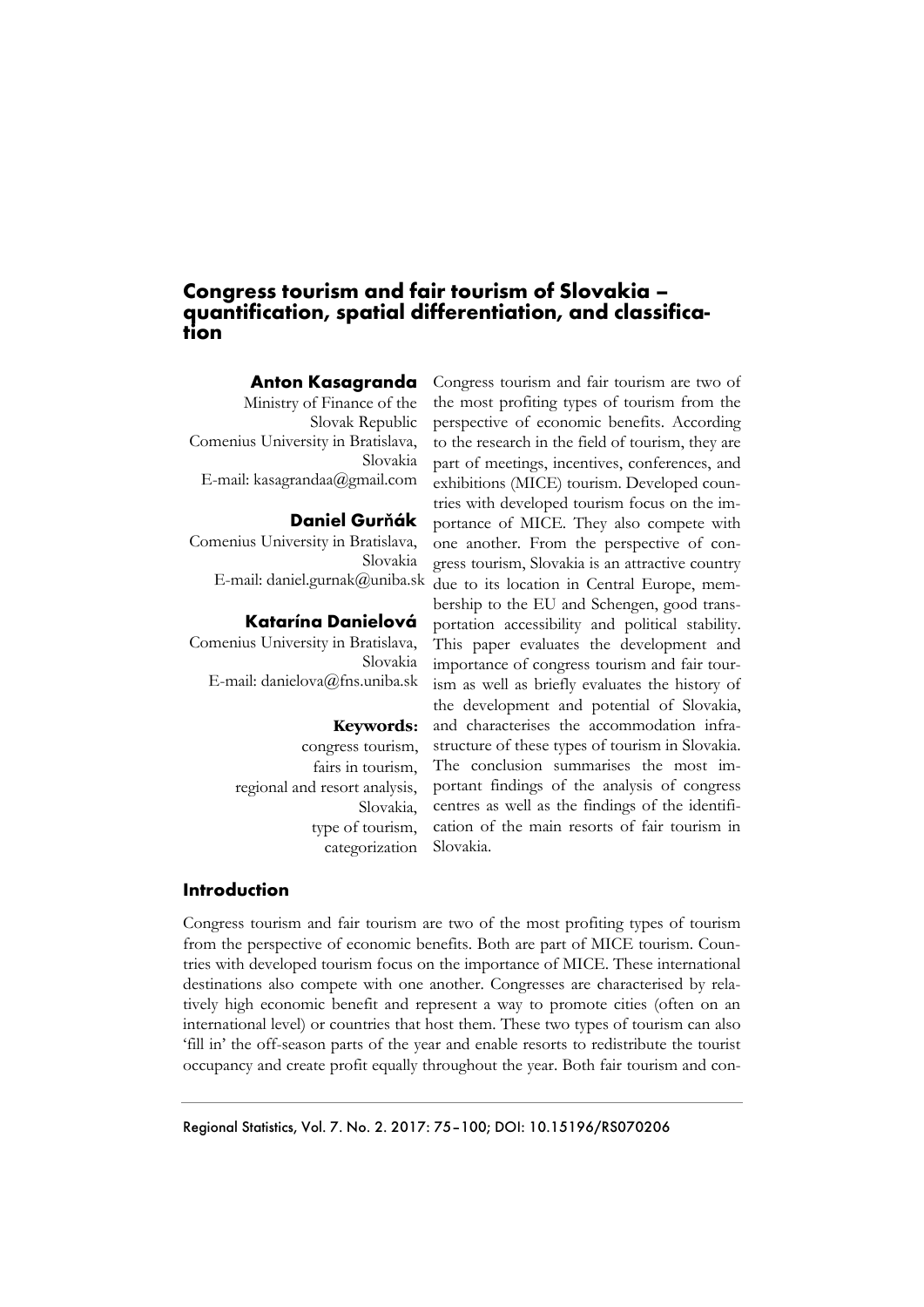# **Congress tourism and fair tourism of Slovakia – quantification, spatial differentiation, and classification**

#### **Anton Kasagranda**

Ministry of Finance of the Slovak Republic Comenius University in Bratislava, Slovakia E-mail: kasagrandaa@gmail.com

## **Daniel Gurňák**

Comenius University in Bratislava, Slovakia E-mail: daniel.gurnak@uniba.sk

## **Katarína Danielová**

Comenius University in Bratislava, Slovakia E-mail: danielova@fns.uniba.sk

#### **Keywords:**

congress tourism, fairs in tourism, regional and resort analysis, Slovakia, type of tourism, categorization

Congress tourism and fair tourism are two of the most profiting types of tourism from the perspective of economic benefits. According to the research in the field of tourism, they are part of meetings, incentives, conferences, and exhibitions (MICE) tourism. Developed countries with developed tourism focus on the importance of MICE. They also compete with one another. From the perspective of congress tourism, Slovakia is an attractive country due to its location in Central Europe, membership to the EU and Schengen, good transportation accessibility and political stability. This paper evaluates the development and importance of congress tourism and fair tourism as well as briefly evaluates the history of the development and potential of Slovakia, and characterises the accommodation infrastructure of these types of tourism in Slovakia. The conclusion summarises the most important findings of the analysis of congress centres as well as the findings of the identification of the main resorts of fair tourism in Slovakia.

## **Introduction**

Congress tourism and fair tourism are two of the most profiting types of tourism from the perspective of economic benefits. Both are part of MICE tourism. Countries with developed tourism focus on the importance of MICE. These international destinations also compete with one another. Congresses are characterised by relatively high economic benefit and represent a way to promote cities (often on an international level) or countries that host them. These two types of tourism can also 'fill in' the off-season parts of the year and enable resorts to redistribute the tourist occupancy and create profit equally throughout the year. Both fair tourism and con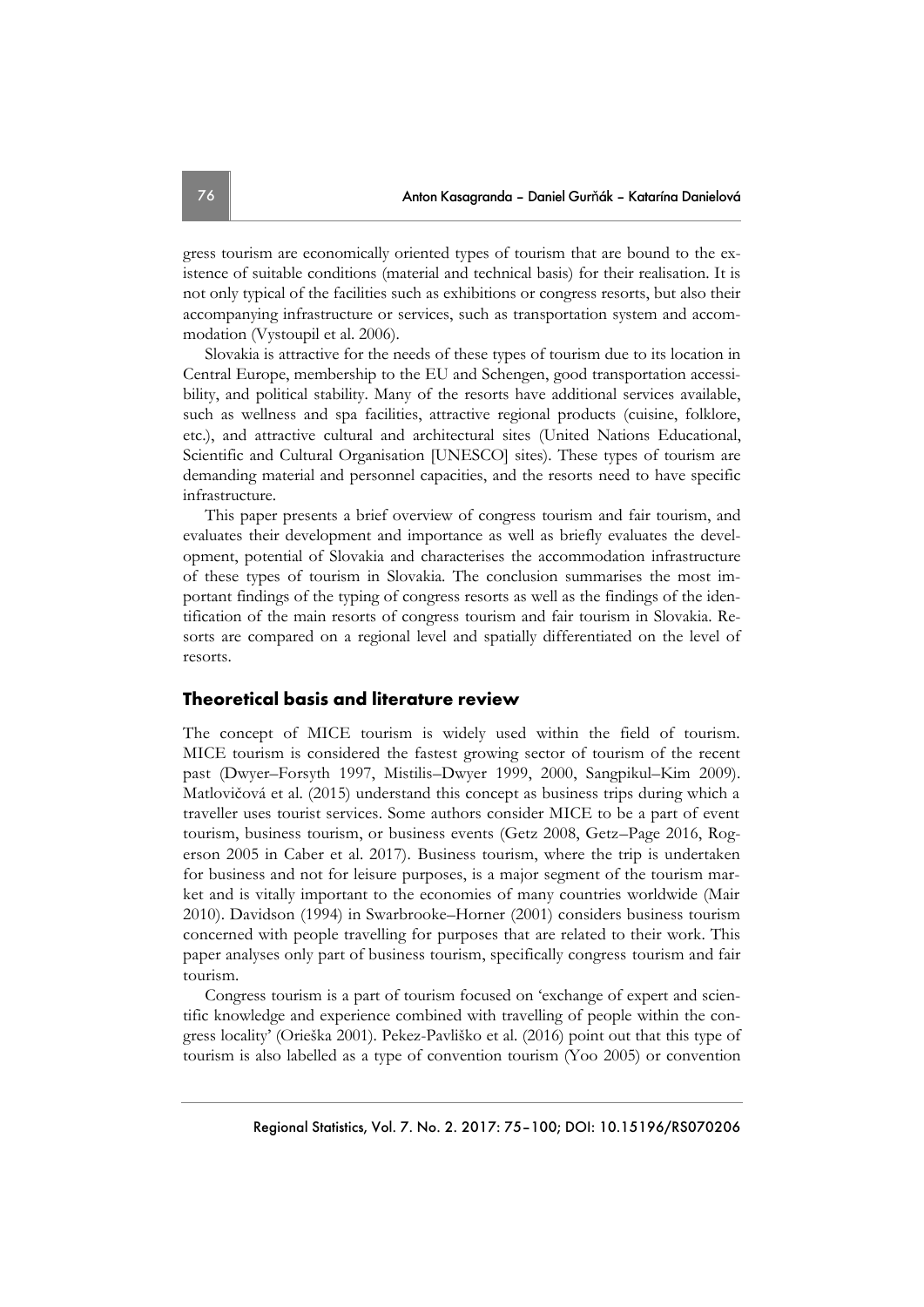gress tourism are economically oriented types of tourism that are bound to the existence of suitable conditions (material and technical basis) for their realisation. It is not only typical of the facilities such as exhibitions or congress resorts, but also their accompanying infrastructure or services, such as transportation system and accommodation (Vystoupil et al. 2006).

Slovakia is attractive for the needs of these types of tourism due to its location in Central Europe, membership to the EU and Schengen, good transportation accessibility, and political stability. Many of the resorts have additional services available, such as wellness and spa facilities, attractive regional products (cuisine, folklore, etc.), and attractive cultural and architectural sites (United Nations Educational, Scientific and Cultural Organisation [UNESCO] sites). These types of tourism are demanding material and personnel capacities, and the resorts need to have specific infrastructure.

This paper presents a brief overview of congress tourism and fair tourism, and evaluates their development and importance as well as briefly evaluates the development, potential of Slovakia and characterises the accommodation infrastructure of these types of tourism in Slovakia. The conclusion summarises the most important findings of the typing of congress resorts as well as the findings of the identification of the main resorts of congress tourism and fair tourism in Slovakia. Resorts are compared on a regional level and spatially differentiated on the level of resorts.

# **Theoretical basis and literature review**

The concept of MICE tourism is widely used within the field of tourism. MICE tourism is considered the fastest growing sector of tourism of the recent past (Dwyer–Forsyth 1997, Mistilis–Dwyer 1999, 2000, Sangpikul–Kim 2009). Matlovičová et al. (2015) understand this concept as business trips during which a traveller uses tourist services. Some authors consider MICE to be a part of event tourism, business tourism, or business events (Getz 2008, Getz–Page 2016, Rogerson 2005 in Caber et al. 2017). Business tourism, where the trip is undertaken for business and not for leisure purposes, is a major segment of the tourism market and is vitally important to the economies of many countries worldwide (Mair 2010). Davidson (1994) in Swarbrooke–Horner (2001) considers business tourism concerned with people travelling for purposes that are related to their work. This paper analyses only part of business tourism, specifically congress tourism and fair tourism.

Congress tourism is a part of tourism focused on 'exchange of expert and scientific knowledge and experience combined with travelling of people within the congress locality' (Orieška 2001). Pekez-Pavliško et al. (2016) point out that this type of tourism is also labelled as a type of convention tourism (Yoo 2005) or convention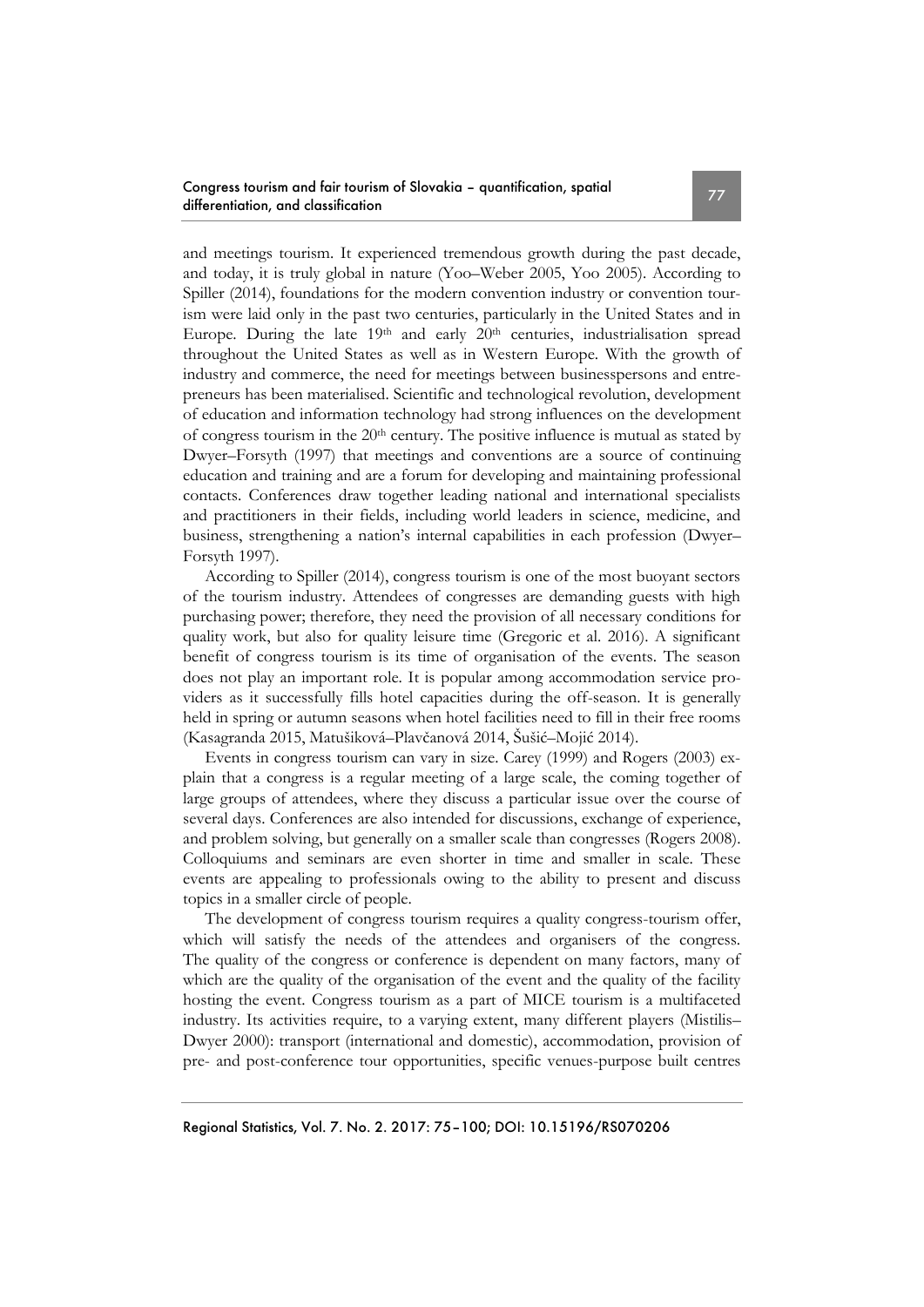and meetings tourism. It experienced tremendous growth during the past decade, and today, it is truly global in nature (Yoo–Weber 2005, Yoo 2005). According to Spiller (2014), foundations for the modern convention industry or convention tourism were laid only in the past two centuries, particularly in the United States and in Europe. During the late 19<sup>th</sup> and early 20<sup>th</sup> centuries, industrialisation spread throughout the United States as well as in Western Europe. With the growth of industry and commerce, the need for meetings between businesspersons and entrepreneurs has been materialised. Scientific and technological revolution, development of education and information technology had strong influences on the development of congress tourism in the 20<sup>th</sup> century. The positive influence is mutual as stated by Dwyer–Forsyth (1997) that meetings and conventions are a source of continuing education and training and are a forum for developing and maintaining professional contacts. Conferences draw together leading national and international specialists and practitioners in their fields, including world leaders in science, medicine, and business, strengthening a nation's internal capabilities in each profession (Dwyer– Forsyth 1997).

According to Spiller (2014), congress tourism is one of the most buoyant sectors of the tourism industry. Attendees of congresses are demanding guests with high purchasing power; therefore, they need the provision of all necessary conditions for quality work, but also for quality leisure time (Gregoric et al. 2016). A significant benefit of congress tourism is its time of organisation of the events. The season does not play an important role. It is popular among accommodation service providers as it successfully fills hotel capacities during the off-season. It is generally held in spring or autumn seasons when hotel facilities need to fill in their free rooms (Kasagranda 2015, Matušiková–Plavčanová 2014, Šušić–Mojić 2014).

Events in congress tourism can vary in size. Carey (1999) and Rogers (2003) explain that a congress is a regular meeting of a large scale, the coming together of large groups of attendees, where they discuss a particular issue over the course of several days. Conferences are also intended for discussions, exchange of experience, and problem solving, but generally on a smaller scale than congresses (Rogers 2008). Colloquiums and seminars are even shorter in time and smaller in scale. These events are appealing to professionals owing to the ability to present and discuss topics in a smaller circle of people.

The development of congress tourism requires a quality congress-tourism offer, which will satisfy the needs of the attendees and organisers of the congress. The quality of the congress or conference is dependent on many factors, many of which are the quality of the organisation of the event and the quality of the facility hosting the event. Congress tourism as a part of MICE tourism is a multifaceted industry. Its activities require, to a varying extent, many different players (Mistilis– Dwyer 2000): transport (international and domestic), accommodation, provision of pre- and post-conference tour opportunities, specific venues-purpose built centres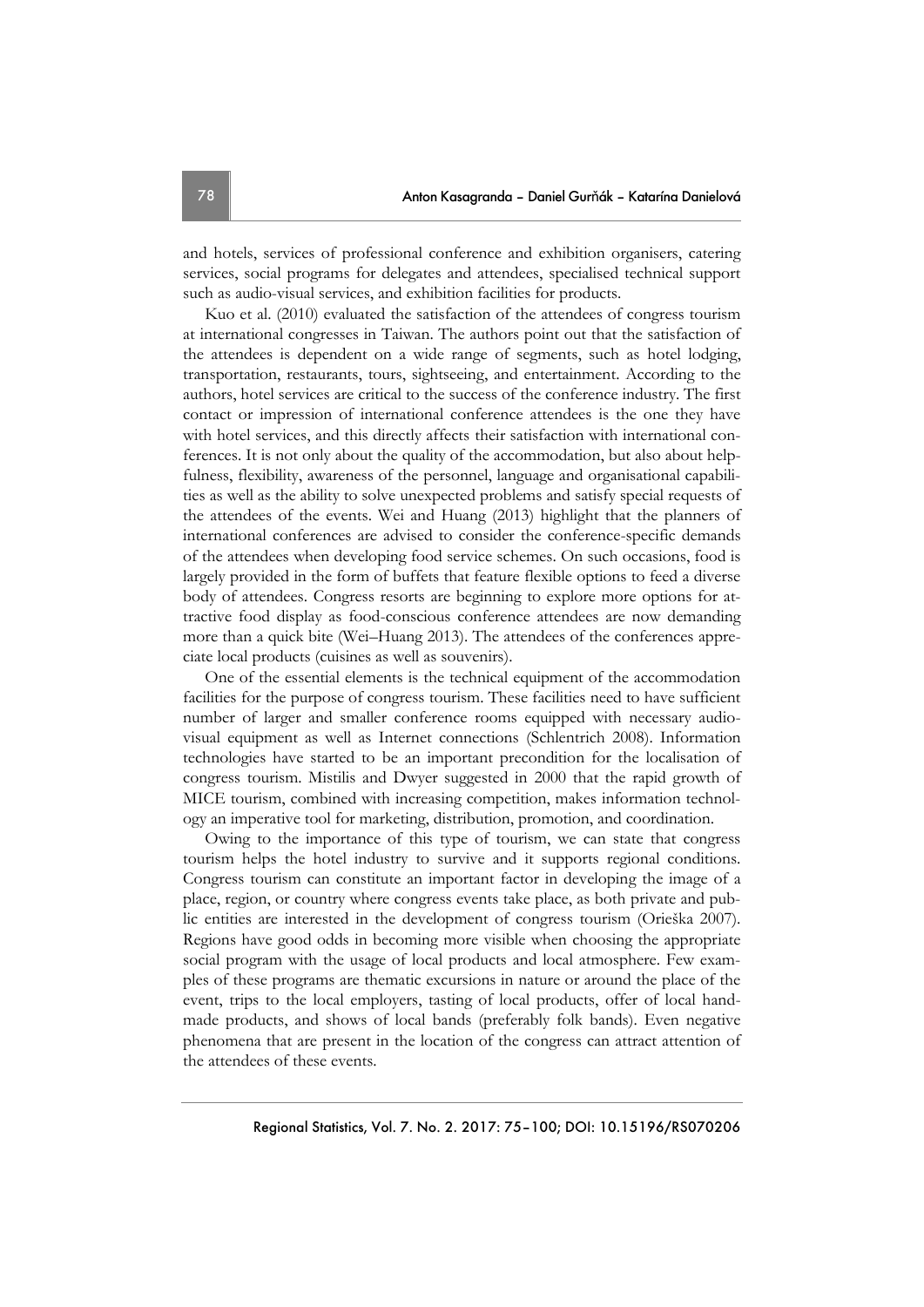and hotels, services of professional conference and exhibition organisers, catering services, social programs for delegates and attendees, specialised technical support such as audio-visual services, and exhibition facilities for products.

Kuo et al. (2010) evaluated the satisfaction of the attendees of congress tourism at international congresses in Taiwan. The authors point out that the satisfaction of the attendees is dependent on a wide range of segments, such as hotel lodging, transportation, restaurants, tours, sightseeing, and entertainment. According to the authors, hotel services are critical to the success of the conference industry. The first contact or impression of international conference attendees is the one they have with hotel services, and this directly affects their satisfaction with international conferences. It is not only about the quality of the accommodation, but also about helpfulness, flexibility, awareness of the personnel, language and organisational capabilities as well as the ability to solve unexpected problems and satisfy special requests of the attendees of the events. Wei and Huang (2013) highlight that the planners of international conferences are advised to consider the conference-specific demands of the attendees when developing food service schemes. On such occasions, food is largely provided in the form of buffets that feature flexible options to feed a diverse body of attendees. Congress resorts are beginning to explore more options for attractive food display as food-conscious conference attendees are now demanding more than a quick bite (Wei–Huang 2013). The attendees of the conferences appreciate local products (cuisines as well as souvenirs).

One of the essential elements is the technical equipment of the accommodation facilities for the purpose of congress tourism. These facilities need to have sufficient number of larger and smaller conference rooms equipped with necessary audiovisual equipment as well as Internet connections (Schlentrich 2008). Information technologies have started to be an important precondition for the localisation of congress tourism. Mistilis and Dwyer suggested in 2000 that the rapid growth of MICE tourism, combined with increasing competition, makes information technology an imperative tool for marketing, distribution, promotion, and coordination.

Owing to the importance of this type of tourism, we can state that congress tourism helps the hotel industry to survive and it supports regional conditions. Congress tourism can constitute an important factor in developing the image of a place, region, or country where congress events take place, as both private and public entities are interested in the development of congress tourism (Orieška 2007). Regions have good odds in becoming more visible when choosing the appropriate social program with the usage of local products and local atmosphere. Few examples of these programs are thematic excursions in nature or around the place of the event, trips to the local employers, tasting of local products, offer of local handmade products, and shows of local bands (preferably folk bands). Even negative phenomena that are present in the location of the congress can attract attention of the attendees of these events.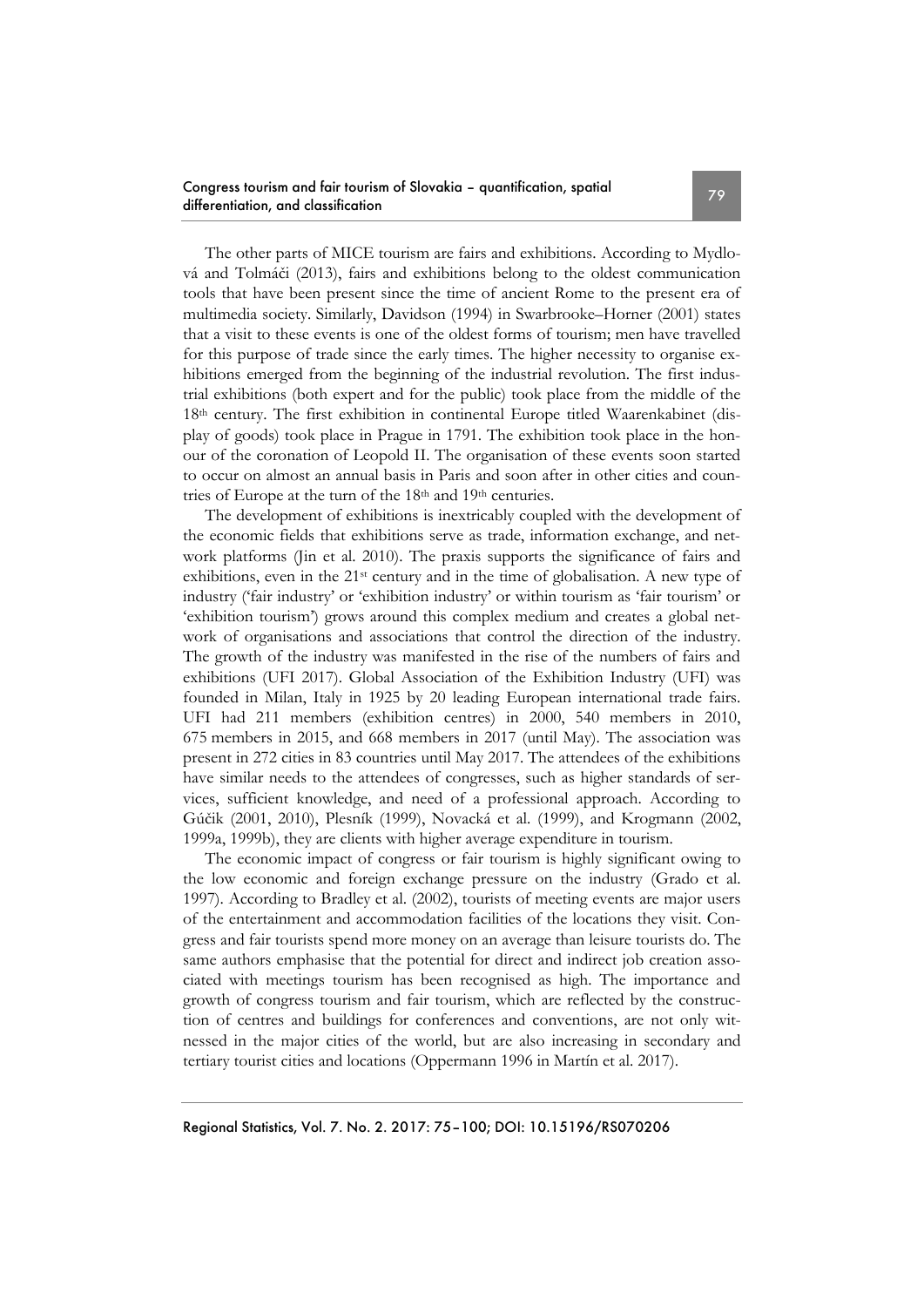The other parts of MICE tourism are fairs and exhibitions. According to Mydlová and Tolmáči (2013), fairs and exhibitions belong to the oldest communication tools that have been present since the time of ancient Rome to the present era of multimedia society. Similarly, Davidson (1994) in Swarbrooke–Horner (2001) states that a visit to these events is one of the oldest forms of tourism; men have travelled for this purpose of trade since the early times. The higher necessity to organise exhibitions emerged from the beginning of the industrial revolution. The first industrial exhibitions (both expert and for the public) took place from the middle of the 18th century. The first exhibition in continental Europe titled Waarenkabinet (display of goods) took place in Prague in 1791. The exhibition took place in the honour of the coronation of Leopold II. The organisation of these events soon started to occur on almost an annual basis in Paris and soon after in other cities and countries of Europe at the turn of the 18<sup>th</sup> and 19<sup>th</sup> centuries.

The development of exhibitions is inextricably coupled with the development of the economic fields that exhibitions serve as trade, information exchange, and network platforms (Jin et al. 2010). The praxis supports the significance of fairs and exhibitions, even in the 21st century and in the time of globalisation. A new type of industry ('fair industry' or 'exhibition industry' or within tourism as 'fair tourism' or 'exhibition tourism') grows around this complex medium and creates a global network of organisations and associations that control the direction of the industry. The growth of the industry was manifested in the rise of the numbers of fairs and exhibitions (UFI 2017). Global Association of the Exhibition Industry (UFI) was founded in Milan, Italy in 1925 by 20 leading European international trade fairs. UFI had 211 members (exhibition centres) in 2000, 540 members in 2010, 675 members in 2015, and 668 members in 2017 (until May). The association was present in 272 cities in 83 countries until May 2017. The attendees of the exhibitions have similar needs to the attendees of congresses, such as higher standards of services, sufficient knowledge, and need of a professional approach. According to Gúčik (2001, 2010), Plesník (1999), Novacká et al. (1999), and Krogmann (2002, 1999a, 1999b), they are clients with higher average expenditure in tourism.

The economic impact of congress or fair tourism is highly significant owing to the low economic and foreign exchange pressure on the industry (Grado et al. 1997). According to Bradley et al. (2002), tourists of meeting events are major users of the entertainment and accommodation facilities of the locations they visit. Congress and fair tourists spend more money on an average than leisure tourists do. The same authors emphasise that the potential for direct and indirect job creation associated with meetings tourism has been recognised as high. The importance and growth of congress tourism and fair tourism, which are reflected by the construction of centres and buildings for conferences and conventions, are not only witnessed in the major cities of the world, but are also increasing in secondary and tertiary tourist cities and locations (Oppermann 1996 in Martín et al. 2017).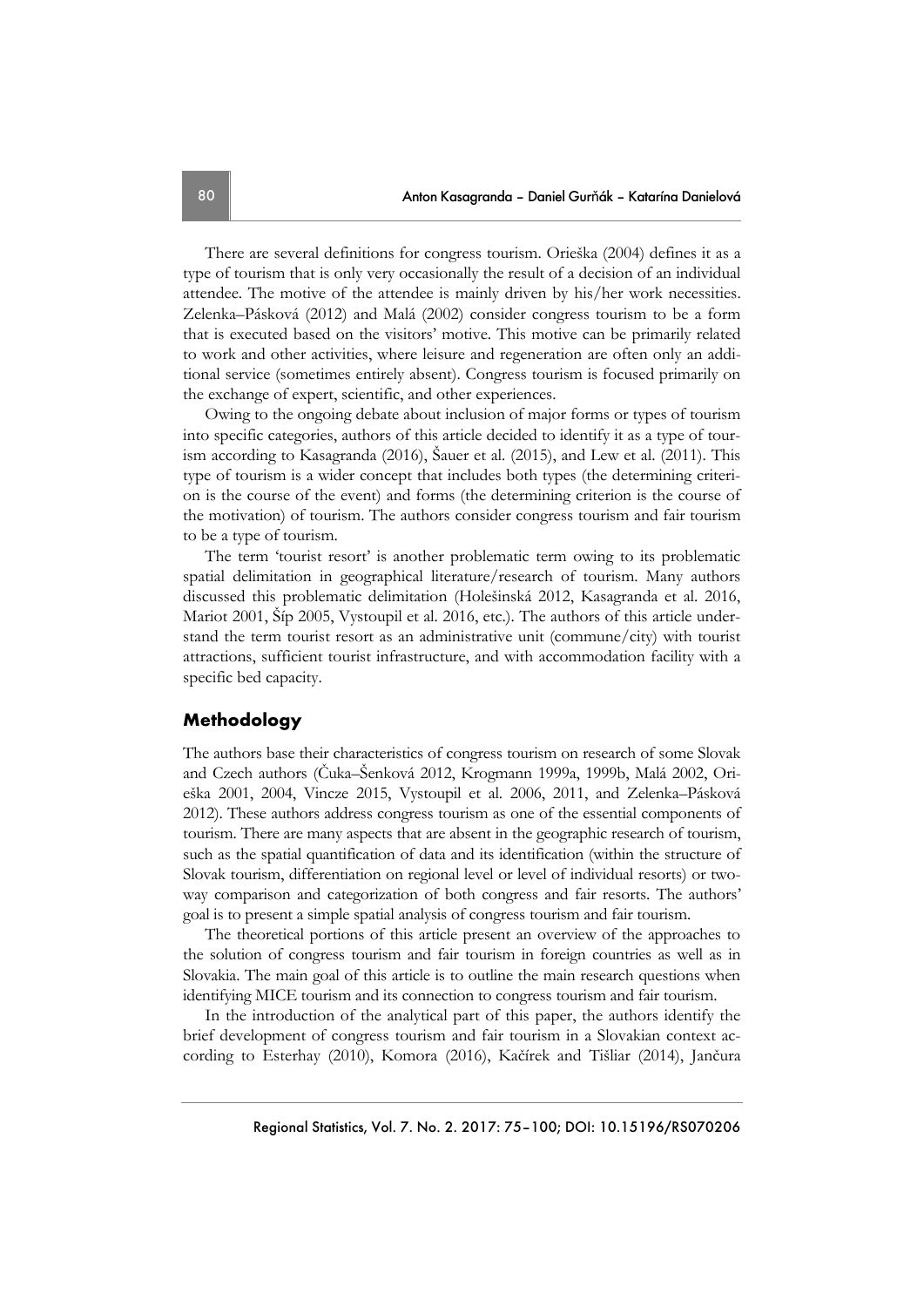There are several definitions for congress tourism. Orieška (2004) defines it as a type of tourism that is only very occasionally the result of a decision of an individual attendee. The motive of the attendee is mainly driven by his/her work necessities. Zelenka–Pásková (2012) and Malá (2002) consider congress tourism to be a form that is executed based on the visitors' motive. This motive can be primarily related to work and other activities, where leisure and regeneration are often only an additional service (sometimes entirely absent). Congress tourism is focused primarily on the exchange of expert, scientific, and other experiences.

Owing to the ongoing debate about inclusion of major forms or types of tourism into specific categories, authors of this article decided to identify it as a type of tourism according to Kasagranda (2016), Šauer et al. (2015), and Lew et al. (2011). This type of tourism is a wider concept that includes both types (the determining criterion is the course of the event) and forms (the determining criterion is the course of the motivation) of tourism. The authors consider congress tourism and fair tourism to be a type of tourism.

The term 'tourist resort' is another problematic term owing to its problematic spatial delimitation in geographical literature/research of tourism. Many authors discussed this problematic delimitation (Holešinská 2012, Kasagranda et al. 2016, Mariot 2001, Šíp 2005, Vystoupil et al. 2016, etc.). The authors of this article understand the term tourist resort as an administrative unit (commune/city) with tourist attractions, sufficient tourist infrastructure, and with accommodation facility with a specific bed capacity.

# **Methodology**

The authors base their characteristics of congress tourism on research of some Slovak and Czech authors (Čuka–Šenková 2012, Krogmann 1999a, 1999b, Malá 2002, Orieška 2001, 2004, Vincze 2015, Vystoupil et al. 2006, 2011, and Zelenka–Pásková 2012). These authors address congress tourism as one of the essential components of tourism. There are many aspects that are absent in the geographic research of tourism, such as the spatial quantification of data and its identification (within the structure of Slovak tourism, differentiation on regional level or level of individual resorts) or twoway comparison and categorization of both congress and fair resorts. The authors' goal is to present a simple spatial analysis of congress tourism and fair tourism.

The theoretical portions of this article present an overview of the approaches to the solution of congress tourism and fair tourism in foreign countries as well as in Slovakia. The main goal of this article is to outline the main research questions when identifying MICE tourism and its connection to congress tourism and fair tourism.

In the introduction of the analytical part of this paper, the authors identify the brief development of congress tourism and fair tourism in a Slovakian context according to Esterhay (2010), Komora (2016), Kačírek and Tišliar (2014), Jančura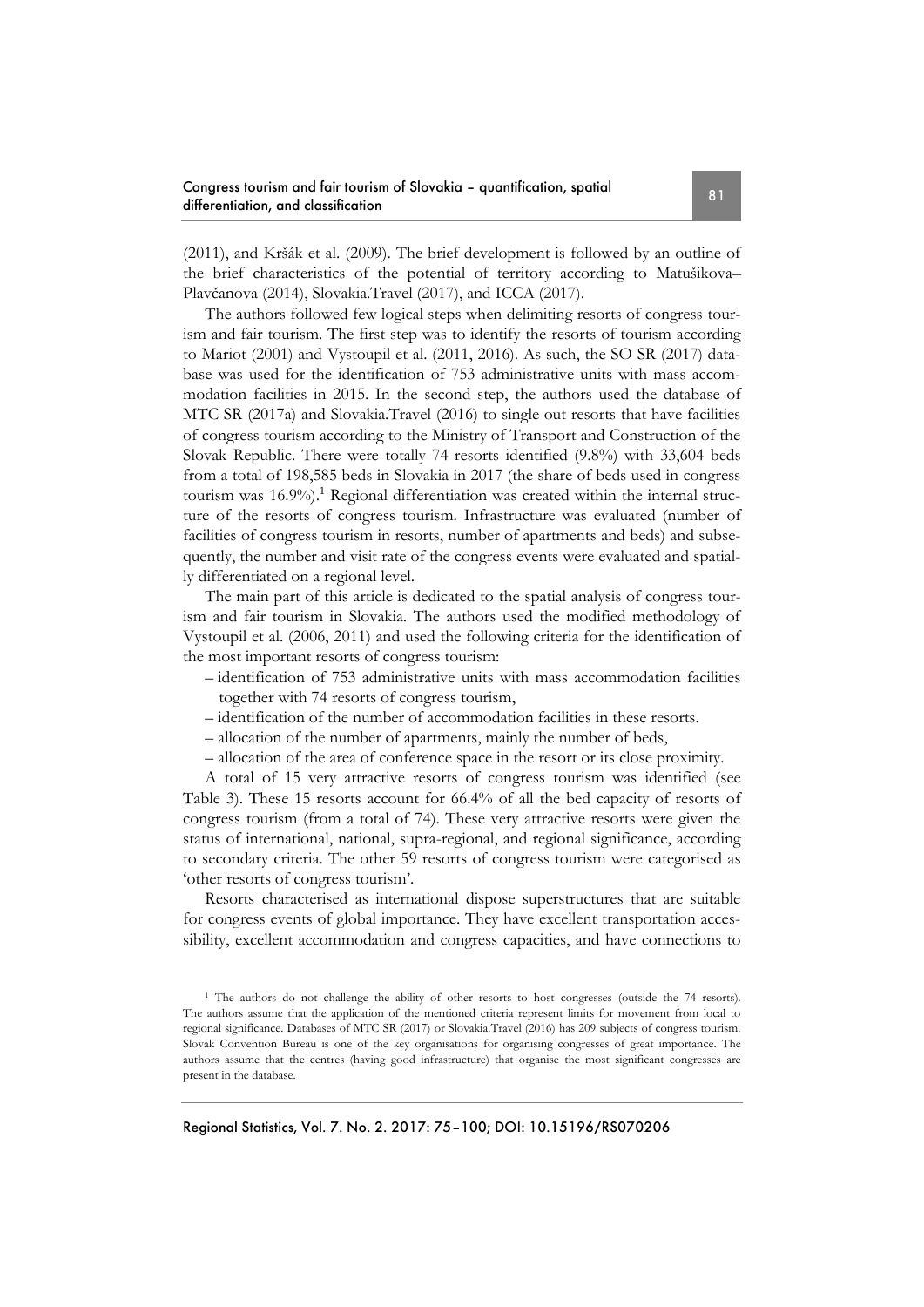(2011), and Kršák et al. (2009). The brief development is followed by an outline of the brief characteristics of the potential of territory according to Matušikova– Plavčanova (2014), Slovakia.Travel (2017), and ICCA (2017).

The authors followed few logical steps when delimiting resorts of congress tourism and fair tourism. The first step was to identify the resorts of tourism according to Mariot (2001) and Vystoupil et al. (2011, 2016). As such, the SO SR (2017) database was used for the identification of 753 administrative units with mass accommodation facilities in 2015. In the second step, the authors used the database of MTC SR (2017a) and Slovakia.Travel (2016) to single out resorts that have facilities of congress tourism according to the Ministry of Transport and Construction of the Slovak Republic. There were totally 74 resorts identified (9.8%) with 33,604 beds from a total of 198,585 beds in Slovakia in 2017 (the share of beds used in congress tourism was 16.9%). <sup>1</sup> Regional differentiation was created within the internal structure of the resorts of congress tourism. Infrastructure was evaluated (number of facilities of congress tourism in resorts, number of apartments and beds) and subsequently, the number and visit rate of the congress events were evaluated and spatially differentiated on a regional level.

The main part of this article is dedicated to the spatial analysis of congress tourism and fair tourism in Slovakia. The authors used the modified methodology of Vystoupil et al. (2006, 2011) and used the following criteria for the identification of the most important resorts of congress tourism:

- identification of 753 administrative units with mass accommodation facilities together with 74 resorts of congress tourism,
- identification of the number of accommodation facilities in these resorts.
- allocation of the number of apartments, mainly the number of beds,
- allocation of the area of conference space in the resort or its close proximity.

A total of 15 very attractive resorts of congress tourism was identified (see Table 3). These 15 resorts account for 66.4% of all the bed capacity of resorts of congress tourism (from a total of 74). These very attractive resorts were given the status of international, national, supra-regional, and regional significance, according to secondary criteria. The other 59 resorts of congress tourism were categorised as 'other resorts of congress tourism'.

Resorts characterised as international dispose superstructures that are suitable for congress events of global importance. They have excellent transportation accessibility, excellent accommodation and congress capacities, and have connections to

<sup>1</sup> The authors do not challenge the ability of other resorts to host congresses (outside the 74 resorts). The authors assume that the application of the mentioned criteria represent limits for movement from local to regional significance. Databases of MTC SR (2017) or Slovakia.Travel (2016) has 209 subjects of congress tourism. Slovak Convention Bureau is one of the key organisations for organising congresses of great importance. The authors assume that the centres (having good infrastructure) that organise the most significant congresses are present in the database.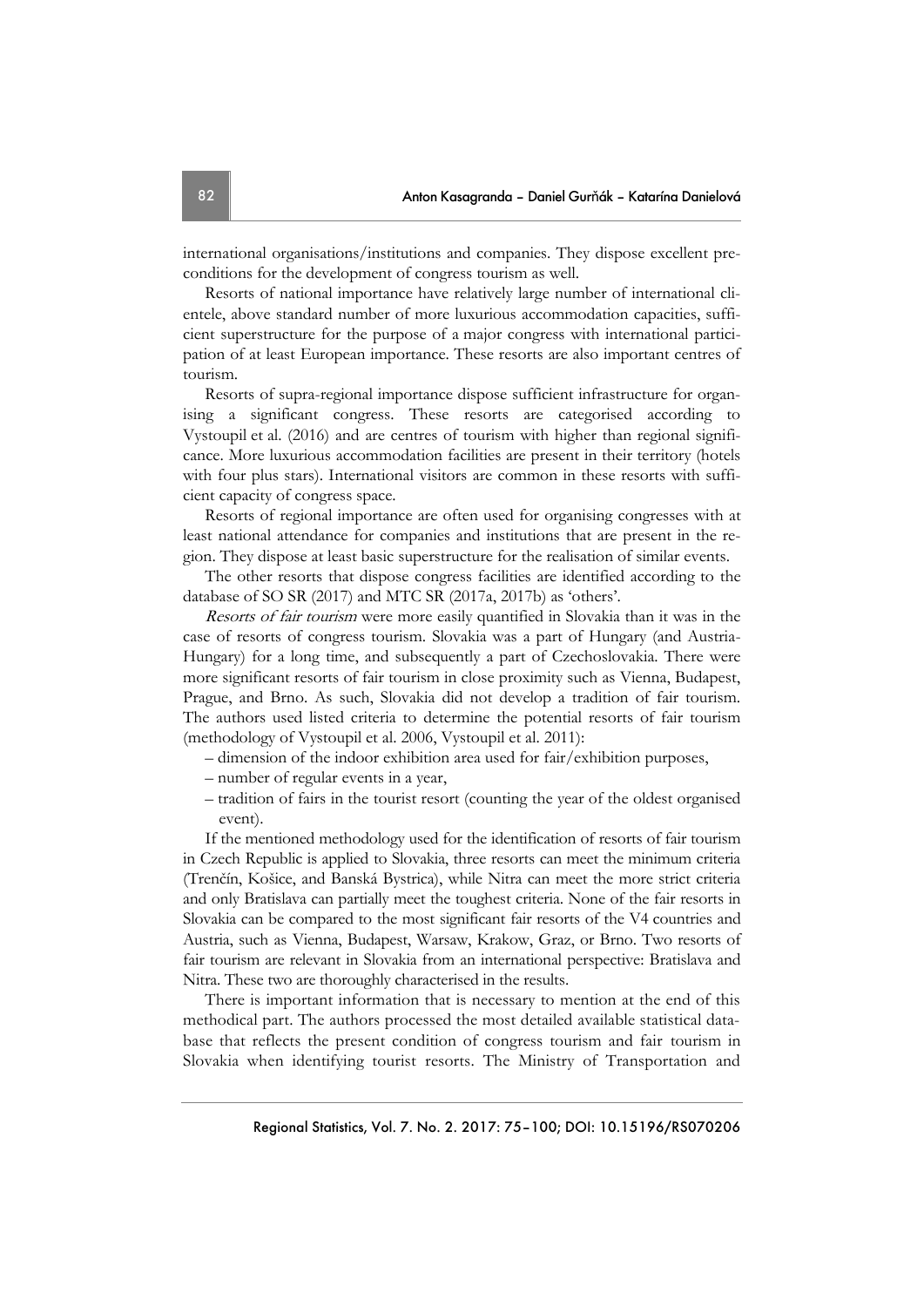international organisations/institutions and companies. They dispose excellent preconditions for the development of congress tourism as well.

Resorts of national importance have relatively large number of international clientele, above standard number of more luxurious accommodation capacities, sufficient superstructure for the purpose of a major congress with international participation of at least European importance. These resorts are also important centres of tourism.

Resorts of supra-regional importance dispose sufficient infrastructure for organising a significant congress. These resorts are categorised according to Vystoupil et al. (2016) and are centres of tourism with higher than regional significance. More luxurious accommodation facilities are present in their territory (hotels with four plus stars). International visitors are common in these resorts with sufficient capacity of congress space.

Resorts of regional importance are often used for organising congresses with at least national attendance for companies and institutions that are present in the region. They dispose at least basic superstructure for the realisation of similar events.

The other resorts that dispose congress facilities are identified according to the database of SO SR (2017) and MTC SR (2017a, 2017b) as 'others'.

Resorts of fair tourism were more easily quantified in Slovakia than it was in the case of resorts of congress tourism. Slovakia was a part of Hungary (and Austria-Hungary) for a long time, and subsequently a part of Czechoslovakia. There were more significant resorts of fair tourism in close proximity such as Vienna, Budapest, Prague, and Brno. As such, Slovakia did not develop a tradition of fair tourism. The authors used listed criteria to determine the potential resorts of fair tourism (methodology of Vystoupil et al. 2006, Vystoupil et al. 2011):

- dimension of the indoor exhibition area used for fair/exhibition purposes,
- number of regular events in a year,
- tradition of fairs in the tourist resort (counting the year of the oldest organised event).

If the mentioned methodology used for the identification of resorts of fair tourism in Czech Republic is applied to Slovakia, three resorts can meet the minimum criteria (Trenčín, Košice, and Banská Bystrica), while Nitra can meet the more strict criteria and only Bratislava can partially meet the toughest criteria. None of the fair resorts in Slovakia can be compared to the most significant fair resorts of the V4 countries and Austria, such as Vienna, Budapest, Warsaw, Krakow, Graz, or Brno. Two resorts of fair tourism are relevant in Slovakia from an international perspective: Bratislava and Nitra. These two are thoroughly characterised in the results.

There is important information that is necessary to mention at the end of this methodical part. The authors processed the most detailed available statistical database that reflects the present condition of congress tourism and fair tourism in Slovakia when identifying tourist resorts. The Ministry of Transportation and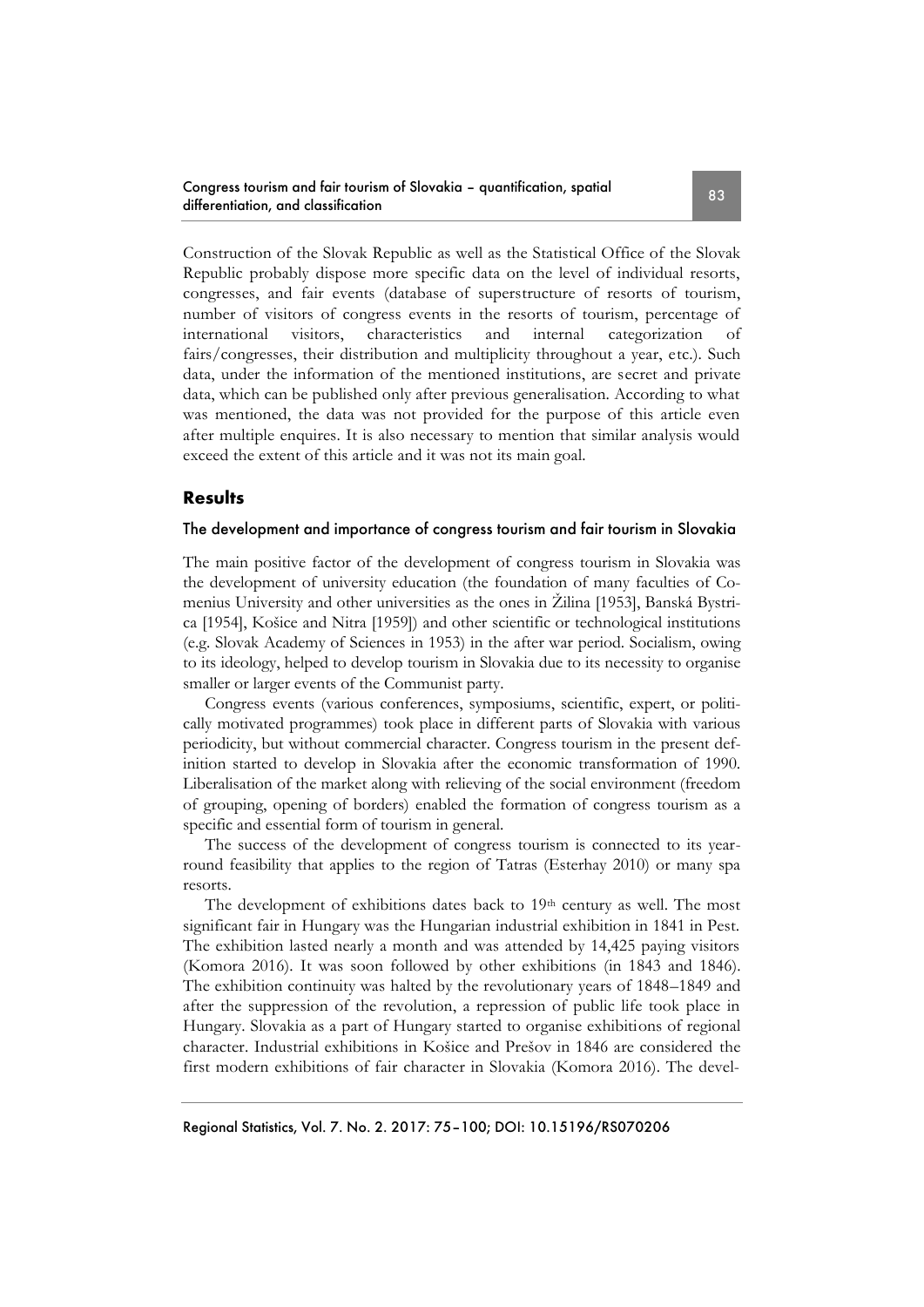Construction of the Slovak Republic as well as the Statistical Office of the Slovak Republic probably dispose more specific data on the level of individual resorts, congresses, and fair events (database of superstructure of resorts of tourism, number of visitors of congress events in the resorts of tourism, percentage of international visitors, characteristics and internal categorization of fairs/congresses, their distribution and multiplicity throughout a year, etc.). Such data, under the information of the mentioned institutions, are secret and private data, which can be published only after previous generalisation. According to what was mentioned, the data was not provided for the purpose of this article even after multiple enquires. It is also necessary to mention that similar analysis would exceed the extent of this article and it was not its main goal.

## **Results**

## The development and importance of congress tourism and fair tourism in Slovakia

The main positive factor of the development of congress tourism in Slovakia was the development of university education (the foundation of many faculties of Comenius University and other universities as the ones in Žilina [1953], Banská Bystrica [1954], Košice and Nitra [1959]) and other scientific or technological institutions (e.g. Slovak Academy of Sciences in 1953) in the after war period. Socialism, owing to its ideology, helped to develop tourism in Slovakia due to its necessity to organise smaller or larger events of the Communist party.

Congress events (various conferences, symposiums, scientific, expert, or politically motivated programmes) took place in different parts of Slovakia with various periodicity, but without commercial character. Congress tourism in the present definition started to develop in Slovakia after the economic transformation of 1990. Liberalisation of the market along with relieving of the social environment (freedom of grouping, opening of borders) enabled the formation of congress tourism as a specific and essential form of tourism in general.

The success of the development of congress tourism is connected to its yearround feasibility that applies to the region of Tatras (Esterhay 2010) or many spa resorts.

The development of exhibitions dates back to 19th century as well. The most significant fair in Hungary was the Hungarian industrial exhibition in 1841 in Pest. The exhibition lasted nearly a month and was attended by 14,425 paying visitors (Komora 2016). It was soon followed by other exhibitions (in 1843 and 1846). The exhibition continuity was halted by the revolutionary years of 1848–1849 and after the suppression of the revolution, a repression of public life took place in Hungary. Slovakia as a part of Hungary started to organise exhibitions of regional character. Industrial exhibitions in Košice and Prešov in 1846 are considered the first modern exhibitions of fair character in Slovakia (Komora 2016). The devel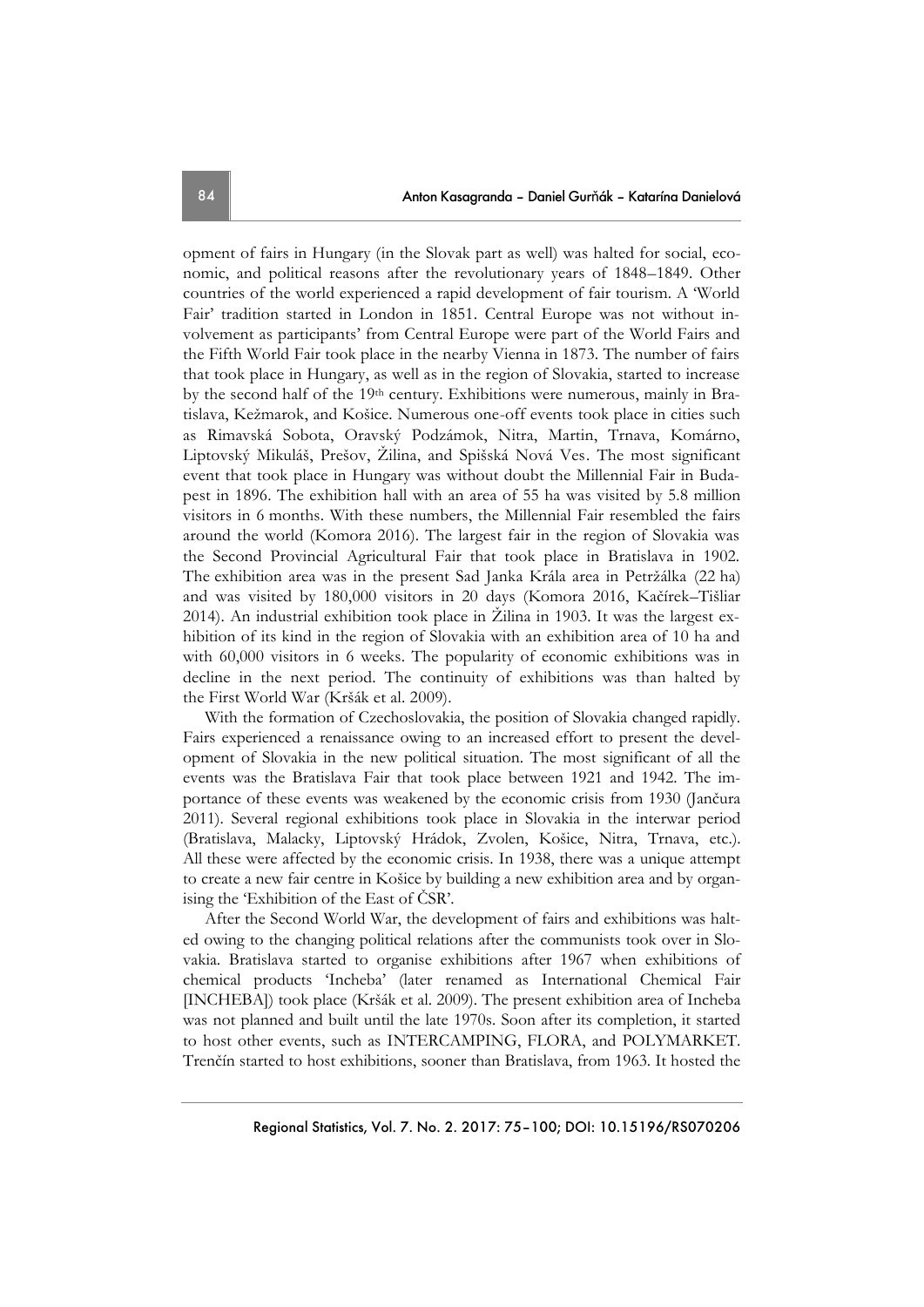opment of fairs in Hungary (in the Slovak part as well) was halted for social, economic, and political reasons after the revolutionary years of 1848–1849. Other countries of the world experienced a rapid development of fair tourism. A 'World Fair' tradition started in London in 1851. Central Europe was not without involvement as participants' from Central Europe were part of the World Fairs and the Fifth World Fair took place in the nearby Vienna in 1873. The number of fairs that took place in Hungary, as well as in the region of Slovakia, started to increase by the second half of the 19th century. Exhibitions were numerous, mainly in Bratislava, Kežmarok, and Košice. Numerous one-off events took place in cities such as Rimavská Sobota, Oravský Podzámok, Nitra, Martin, Trnava, Komárno, Liptovský Mikuláš, Prešov, Žilina, and Spišská Nová Ves. The most significant event that took place in Hungary was without doubt the Millennial Fair in Budapest in 1896. The exhibition hall with an area of 55 ha was visited by 5.8 million visitors in 6 months. With these numbers, the Millennial Fair resembled the fairs around the world (Komora 2016). The largest fair in the region of Slovakia was the Second Provincial Agricultural Fair that took place in Bratislava in 1902. The exhibition area was in the present Sad Janka Krála area in Petržálka (22 ha) and was visited by 180,000 visitors in 20 days (Komora 2016, Kačírek–Tišliar 2014). An industrial exhibition took place in Žilina in 1903. It was the largest exhibition of its kind in the region of Slovakia with an exhibition area of 10 ha and with 60,000 visitors in 6 weeks. The popularity of economic exhibitions was in decline in the next period. The continuity of exhibitions was than halted by the First World War (Kršák et al. 2009).

With the formation of Czechoslovakia, the position of Slovakia changed rapidly. Fairs experienced a renaissance owing to an increased effort to present the development of Slovakia in the new political situation. The most significant of all the events was the Bratislava Fair that took place between 1921 and 1942. The importance of these events was weakened by the economic crisis from 1930 (Jančura 2011). Several regional exhibitions took place in Slovakia in the interwar period (Bratislava, Malacky, Liptovský Hrádok, Zvolen, Košice, Nitra, Trnava, etc.). All these were affected by the economic crisis. In 1938, there was a unique attempt to create a new fair centre in Košice by building a new exhibition area and by organising the 'Exhibition of the East of ČSR'.

After the Second World War, the development of fairs and exhibitions was halted owing to the changing political relations after the communists took over in Slovakia. Bratislava started to organise exhibitions after 1967 when exhibitions of chemical products 'Incheba' (later renamed as International Chemical Fair [INCHEBA]) took place (Kršák et al. 2009). The present exhibition area of Incheba was not planned and built until the late 1970s. Soon after its completion, it started to host other events, such as INTERCAMPING, FLORA, and POLYMARKET. Trenčín started to host exhibitions, sooner than Bratislava, from 1963. It hosted the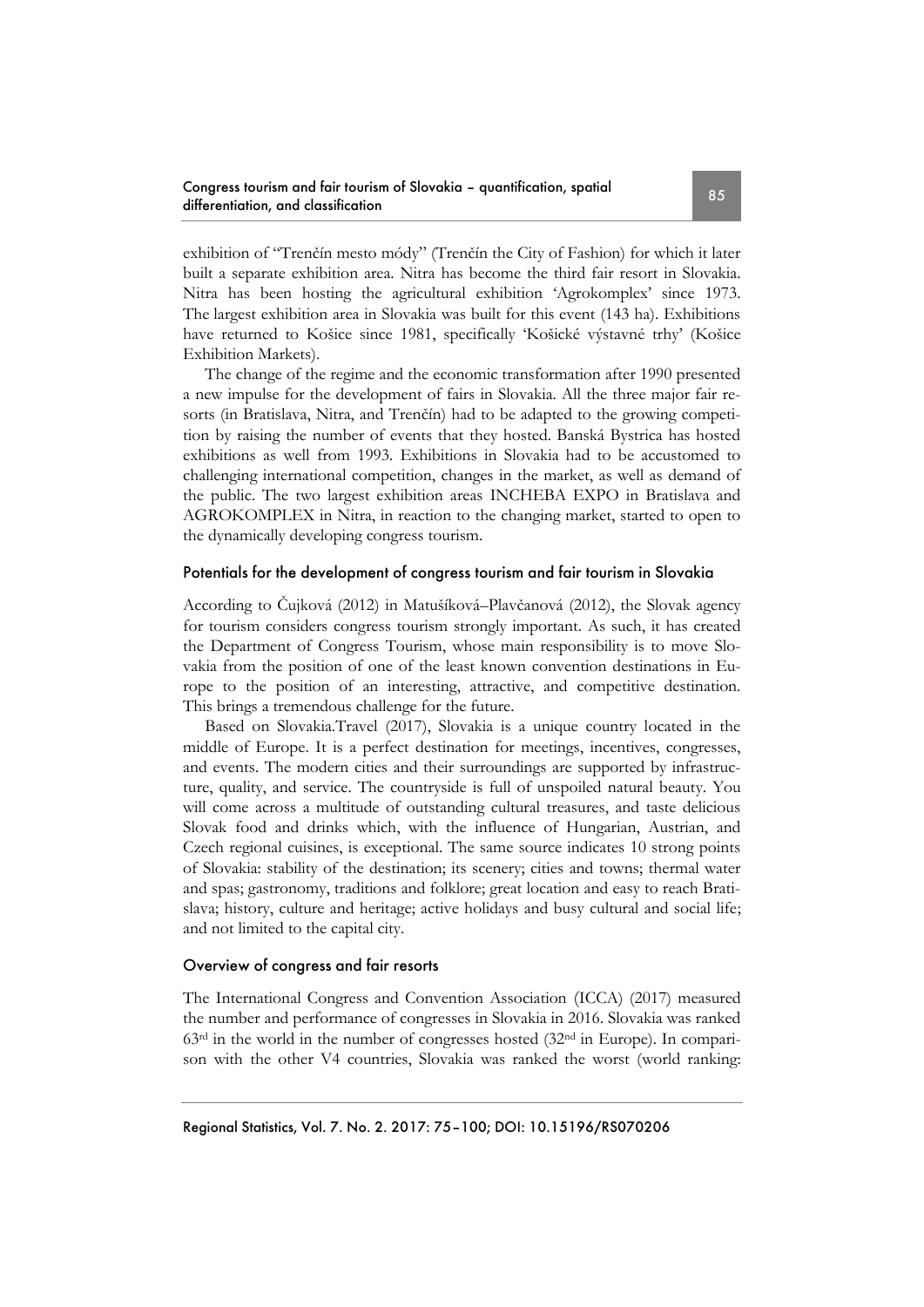exhibition of "Trenčín mesto módy" (Trenčín the City of Fashion) for which it later built a separate exhibition area. Nitra has become the third fair resort in Slovakia. Nitra has been hosting the agricultural exhibition 'Agrokomplex' since 1973. The largest exhibition area in Slovakia was built for this event (143 ha). Exhibitions have returned to Košice since 1981, specifically 'Košické výstavné trhy' (Košice Exhibition Markets).

The change of the regime and the economic transformation after 1990 presented a new impulse for the development of fairs in Slovakia. All the three major fair resorts (in Bratislava, Nitra, and Trenčín) had to be adapted to the growing competition by raising the number of events that they hosted. Banská Bystrica has hosted exhibitions as well from 1993. Exhibitions in Slovakia had to be accustomed to challenging international competition, changes in the market, as well as demand of the public. The two largest exhibition areas INCHEBA EXPO in Bratislava and AGROKOMPLEX in Nitra, in reaction to the changing market, started to open to the dynamically developing congress tourism.

## Potentials for the development of congress tourism and fair tourism in Slovakia

According to Čujková (2012) in Matušíková–Plavčanová (2012), the Slovak agency for tourism considers congress tourism strongly important. As such, it has created the Department of Congress Tourism, whose main responsibility is to move Slovakia from the position of one of the least known convention destinations in Europe to the position of an interesting, attractive, and competitive destination. This brings a tremendous challenge for the future.

Based on Slovakia.Travel (2017), Slovakia is a unique country located in the middle of Europe. It is a perfect destination for meetings, incentives, congresses, and events. The modern cities and their surroundings are supported by infrastructure, quality, and service. The countryside is full of unspoiled natural beauty. You will come across a multitude of outstanding cultural treasures, and taste delicious Slovak food and drinks which, with the influence of Hungarian, Austrian, and Czech regional cuisines, is exceptional. The same source indicates 10 strong points of Slovakia: stability of the destination; its scenery; cities and towns; thermal water and spas; gastronomy, traditions and folklore; great location and easy to reach Bratislava; history, culture and heritage; active holidays and busy cultural and social life; and not limited to the capital city.

## Overview of congress and fair resorts

The International Congress and Convention Association (ICCA) (2017) measured the number and performance of congresses in Slovakia in 2016. Slovakia was ranked  $63<sup>rd</sup>$  in the world in the number of congresses hosted  $(32<sup>nd</sup>$  in Europe). In comparison with the other V4 countries, Slovakia was ranked the worst (world ranking: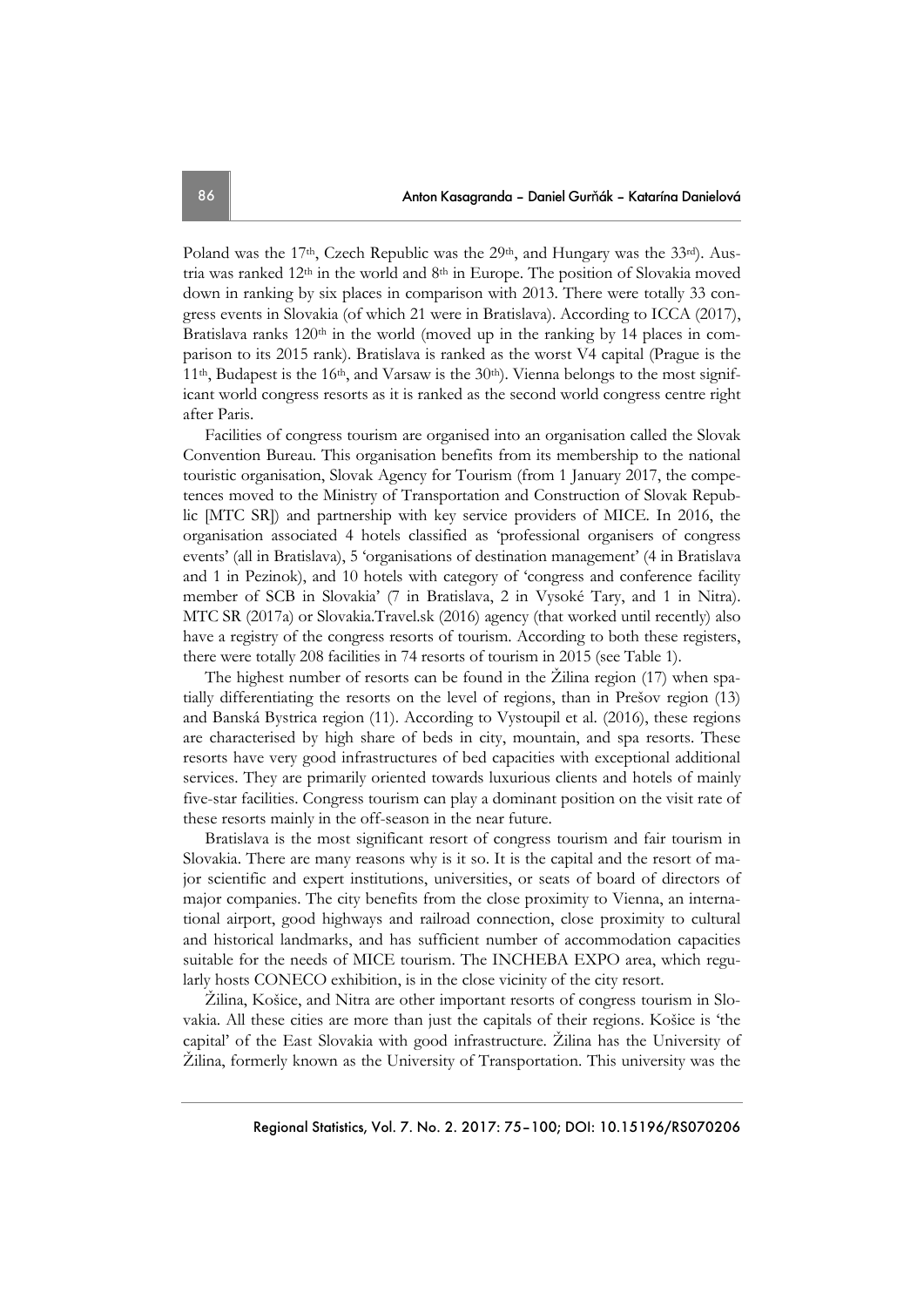Poland was the 17<sup>th</sup>, Czech Republic was the 29<sup>th</sup>, and Hungary was the 33<sup>rd</sup>). Austria was ranked  $12<sup>th</sup>$  in the world and  $8<sup>th</sup>$  in Europe. The position of Slovakia moved down in ranking by six places in comparison with 2013. There were totally 33 congress events in Slovakia (of which 21 were in Bratislava). According to ICCA (2017), Bratislava ranks  $120<sup>th</sup>$  in the world (moved up in the ranking by 14 places in comparison to its 2015 rank). Bratislava is ranked as the worst V4 capital (Prague is the 11<sup>th</sup>, Budapest is the 16<sup>th</sup>, and Varsaw is the 30<sup>th</sup>). Vienna belongs to the most significant world congress resorts as it is ranked as the second world congress centre right after Paris.

Facilities of congress tourism are organised into an organisation called the Slovak Convention Bureau. This organisation benefits from its membership to the national touristic organisation, Slovak Agency for Tourism (from 1 January 2017, the competences moved to the Ministry of Transportation and Construction of Slovak Republic [MTC SR]) and partnership with key service providers of MICE. In 2016, the organisation associated 4 hotels classified as 'professional organisers of congress events' (all in Bratislava), 5 'organisations of destination management' (4 in Bratislava and 1 in Pezinok), and 10 hotels with category of 'congress and conference facility member of SCB in Slovakia' (7 in Bratislava, 2 in Vysoké Tary, and 1 in Nitra). MTC SR (2017a) or Slovakia.Travel.sk (2016) agency (that worked until recently) also have a registry of the congress resorts of tourism. According to both these registers, there were totally 208 facilities in 74 resorts of tourism in 2015 (see Table 1).

The highest number of resorts can be found in the Žilina region (17) when spatially differentiating the resorts on the level of regions, than in Prešov region (13) and Banská Bystrica region (11). According to Vystoupil et al. (2016), these regions are characterised by high share of beds in city, mountain, and spa resorts. These resorts have very good infrastructures of bed capacities with exceptional additional services. They are primarily oriented towards luxurious clients and hotels of mainly five-star facilities. Congress tourism can play a dominant position on the visit rate of these resorts mainly in the off-season in the near future.

Bratislava is the most significant resort of congress tourism and fair tourism in Slovakia. There are many reasons why is it so. It is the capital and the resort of major scientific and expert institutions, universities, or seats of board of directors of major companies. The city benefits from the close proximity to Vienna, an international airport, good highways and railroad connection, close proximity to cultural and historical landmarks, and has sufficient number of accommodation capacities suitable for the needs of MICE tourism. The INCHEBA EXPO area, which regularly hosts CONECO exhibition, is in the close vicinity of the city resort.

Žilina, Košice, and Nitra are other important resorts of congress tourism in Slovakia. All these cities are more than just the capitals of their regions. Košice is 'the capital' of the East Slovakia with good infrastructure. Žilina has the University of Žilina, formerly known as the University of Transportation. This university was the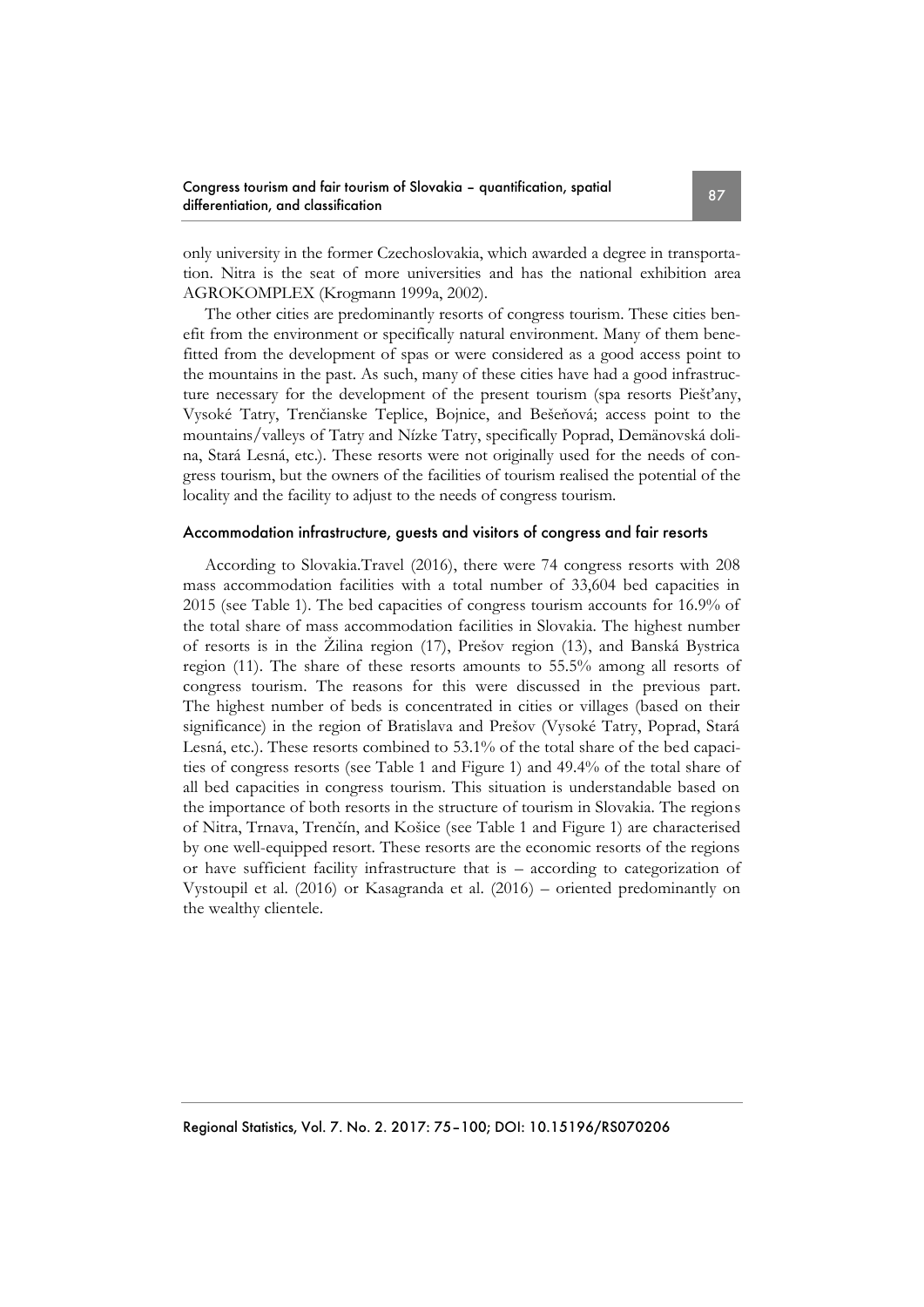only university in the former Czechoslovakia, which awarded a degree in transportation. Nitra is the seat of more universities and has the national exhibition area AGROKOMPLEX (Krogmann 1999a, 2002).

The other cities are predominantly resorts of congress tourism. These cities benefit from the environment or specifically natural environment. Many of them benefitted from the development of spas or were considered as a good access point to the mountains in the past. As such, many of these cities have had a good infrastructure necessary for the development of the present tourism (spa resorts Piešťany, Vysoké Tatry, Trenčianske Teplice, Bojnice, and Bešeňová; access point to the mountains/valleys of Tatry and Nízke Tatry, specifically Poprad, Demänovská dolina, Stará Lesná, etc.). These resorts were not originally used for the needs of congress tourism, but the owners of the facilities of tourism realised the potential of the locality and the facility to adjust to the needs of congress tourism.

## Accommodation infrastructure, guests and visitors of congress and fair resorts

According to Slovakia.Travel (2016), there were 74 congress resorts with 208 mass accommodation facilities with a total number of 33,604 bed capacities in 2015 (see Table 1). The bed capacities of congress tourism accounts for 16.9% of the total share of mass accommodation facilities in Slovakia. The highest number of resorts is in the Žilina region (17), Prešov region (13), and Banská Bystrica region (11). The share of these resorts amounts to 55.5% among all resorts of congress tourism. The reasons for this were discussed in the previous part. The highest number of beds is concentrated in cities or villages (based on their significance) in the region of Bratislava and Prešov (Vysoké Tatry, Poprad, Stará Lesná, etc.). These resorts combined to 53.1% of the total share of the bed capacities of congress resorts (see Table 1 and Figure 1) and 49.4% of the total share of all bed capacities in congress tourism. This situation is understandable based on the importance of both resorts in the structure of tourism in Slovakia. The regions of Nitra, Trnava, Trenčín, and Košice (see Table 1 and Figure 1) are characterised by one well-equipped resort. These resorts are the economic resorts of the regions or have sufficient facility infrastructure that is – according to categorization of Vystoupil et al. (2016) or Kasagranda et al. (2016) – oriented predominantly on the wealthy clientele.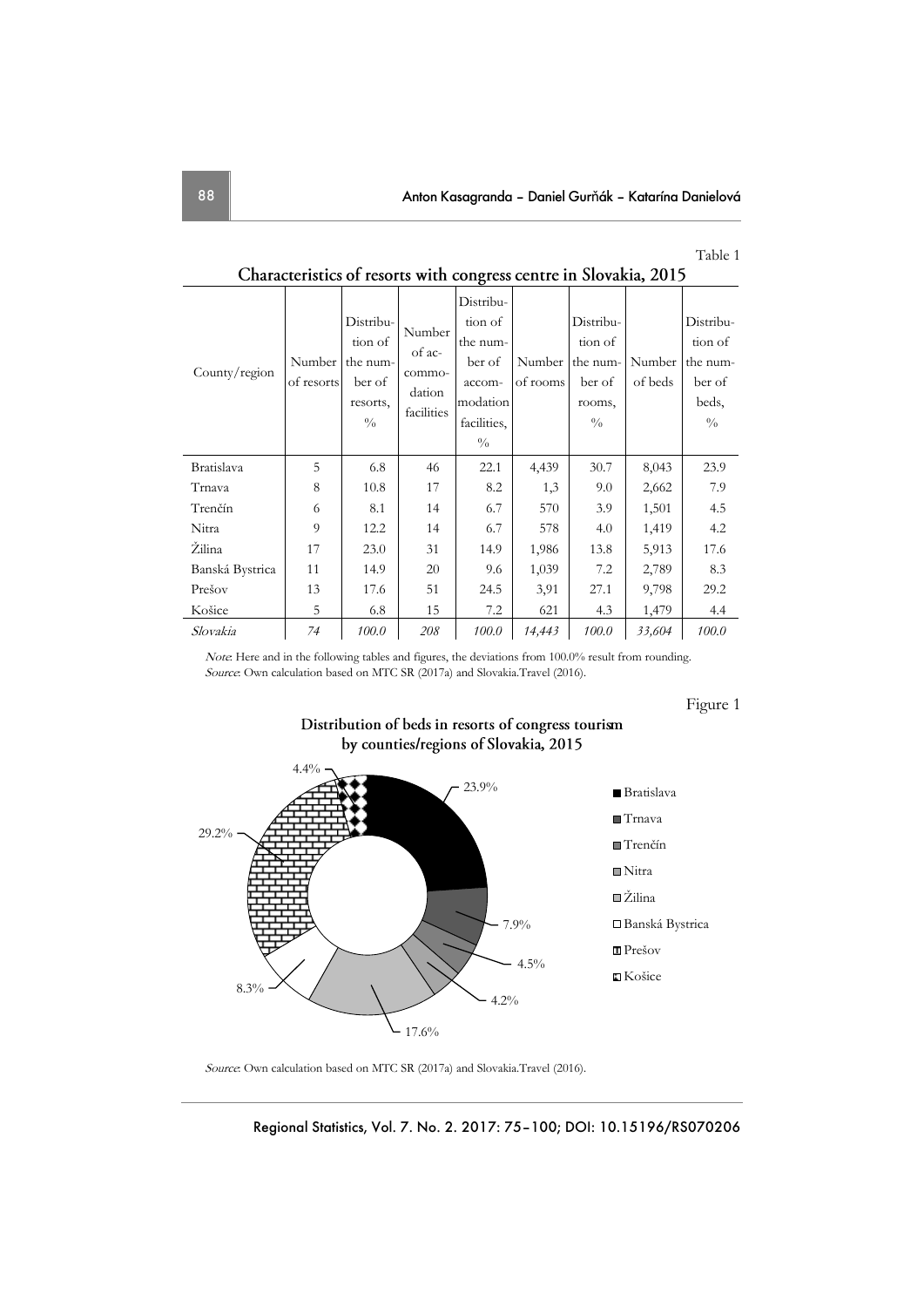#### Table 1

| County/region     | Number<br>of resorts | Distribu-<br>tion of<br>the num-<br>ber of<br>resorts,<br>$\frac{0}{0}$ | Number<br>of ac-<br>commo-<br>dation<br>facilities | Distribu-<br>tion of<br>the num-<br>ber of<br>accom-<br>modation<br>facilities,<br>$\frac{0}{0}$ | Number  <br>of rooms | Distribu-<br>tion of<br>the num-<br>ber of<br>rooms,<br>$\frac{0}{0}$ | Number<br>of beds | Distribu-<br>tion of<br>the num-<br>ber of<br>beds,<br>$\frac{0}{0}$ |
|-------------------|----------------------|-------------------------------------------------------------------------|----------------------------------------------------|--------------------------------------------------------------------------------------------------|----------------------|-----------------------------------------------------------------------|-------------------|----------------------------------------------------------------------|
| <b>Bratislava</b> | 5                    | 6.8                                                                     | 46                                                 | 22.1                                                                                             | 4,439                | 30.7                                                                  | 8,043             | 23.9                                                                 |
| Trnava            | 8                    | 10.8                                                                    | 17                                                 | 8.2                                                                                              | 1,3                  | 9.0                                                                   | 2,662             | 7.9                                                                  |
| Trenčín           | 6                    | 8.1                                                                     | 14                                                 | 6.7                                                                                              | 570                  | 3.9                                                                   | 1,501             | 4.5                                                                  |
| Nitra             | 9                    | 12.2                                                                    | 14                                                 | 6.7                                                                                              | 578                  | 4.0                                                                   | 1,419             | 4.2                                                                  |
| Žilina            | 17                   | 23.0                                                                    | 31                                                 | 14.9                                                                                             | 1,986                | 13.8                                                                  | 5,913             | 17.6                                                                 |
| Banská Bystrica   | 11                   | 14.9                                                                    | 20                                                 | 9.6                                                                                              | 1,039                | 7.2                                                                   | 2,789             | 8.3                                                                  |
| Prešov            | 13                   | 17.6                                                                    | 51                                                 | 24.5                                                                                             | 3,91                 | 27.1                                                                  | 9,798             | 29.2                                                                 |
| Košice            | 5                    | 6.8                                                                     | 15                                                 | 7.2                                                                                              | 621                  | 4.3                                                                   | 1,479             | 4.4                                                                  |
| Slovakia          | 74                   | 100.0                                                                   | 208                                                | 100.0                                                                                            | 14,443               | 100.0                                                                 | 33,604            | 100.0                                                                |

Characteristics of resorts with congress centre in Slovakia, 2015

Note: Here and in the following tables and figures, the deviations from 100.0% result from rounding. Source: Own calculation based on MTC SR (2017a) and Slovakia.Travel (2016).

## Figure 1



by counties/regions of Slovakia, 2015

Distribution of beds in resorts of congress tourism

Source: Own calculation based on MTC SR (2017a) and Slovakia.Travel (2016).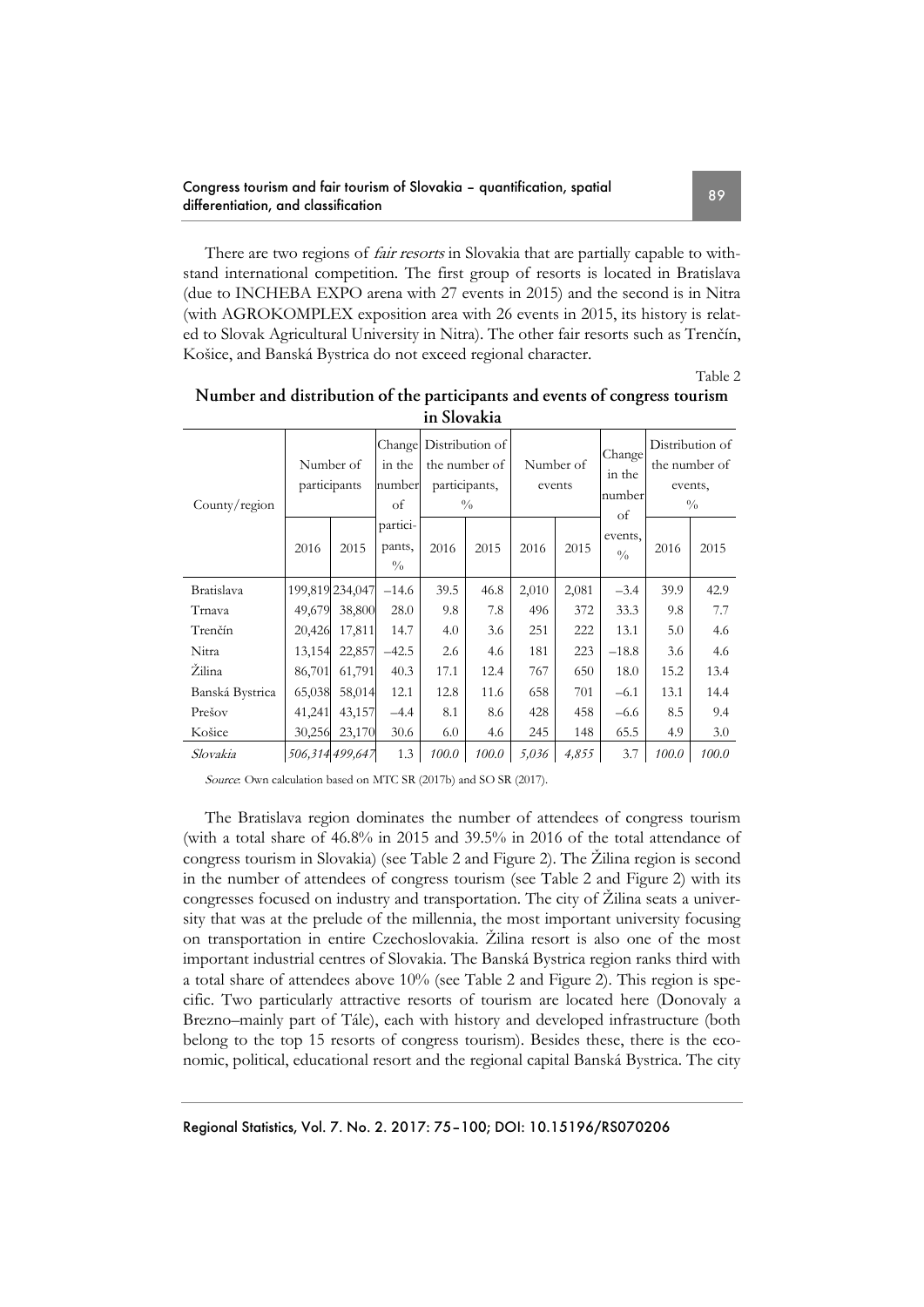### Congress tourism and fair tourism of Slovakia – quantification, spatial Congress fourism and fair fourism or Slovakia – quantification, spallar<br>differentiation, and classification

There are two regions of *fair resorts* in Slovakia that are partially capable to withstand international competition. The first group of resorts is located in Bratislava (due to INCHEBA EXPO arena with 27 events in 2015) and the second is in Nitra (with AGROKOMPLEX exposition area with 26 events in 2015, its history is related to Slovak Agricultural University in Nitra). The other fair resorts such as Trenčín, Košice, and Banská Bystrica do not exceed regional character.

Table 2

| ні эючакіа      |                           |                 |                                     |                                                                           |       |                     |       |                                  |                                                              |       |
|-----------------|---------------------------|-----------------|-------------------------------------|---------------------------------------------------------------------------|-------|---------------------|-------|----------------------------------|--------------------------------------------------------------|-------|
| County/region   | Number of<br>participants |                 | in the<br>number<br>of              | Change Distribution of<br>the number of<br>participants,<br>$\frac{0}{0}$ |       | Number of<br>events |       | Change<br>in the<br>number<br>of | Distribution of<br>the number of<br>events,<br>$\frac{0}{0}$ |       |
|                 | 2016                      | 2015            | partici-<br>pants,<br>$\frac{0}{0}$ | 2016                                                                      | 2015  | 2016                | 2015  | events,<br>$\frac{0}{0}$         | 2016                                                         | 2015  |
| Bratislava      |                           | 199,819 234,047 | $-14.6$                             | 39.5                                                                      | 46.8  | 2,010               | 2,081 | $-3.4$                           | 39.9                                                         | 42.9  |
| Trnava          | 49,679                    | 38,800          | 28.0                                | 9.8                                                                       | 7.8   | 496                 | 372   | 33.3                             | 9.8                                                          | 7.7   |
| Trenčín         | 20,426                    | 17,811          | 14.7                                | 4.0                                                                       | 3.6   | 251                 | 222   | 13.1                             | 5.0                                                          | 4.6   |
| Nitra           | 13,154                    | 22,857          | $-42.5$                             | 2.6                                                                       | 4.6   | 181                 | 223   | $-18.8$                          | 3.6                                                          | 4.6   |
| Žilina          | 86,701                    | 61,791          | 40.3                                | 17.1                                                                      | 12.4  | 767                 | 650   | 18.0                             | 15.2                                                         | 13.4  |
| Banská Bystrica | 65,038                    | 58,014          | 12.1                                | 12.8                                                                      | 11.6  | 658                 | 701   | $-6.1$                           | 13.1                                                         | 14.4  |
| Prešov          | 41,241                    | 43,157          | $-4.4$                              | 8.1                                                                       | 8.6   | 428                 | 458   | $-6.6$                           | 8.5                                                          | 9.4   |
| Košice          | 30,256                    | 23,170          | 30.6                                | 6.0                                                                       | 4.6   | 245                 | 148   | 65.5                             | 4.9                                                          | 3.0   |
| Slovakia        |                           | 506,314 499,647 | 1.3                                 | 100.0                                                                     | 100.0 | 5,036               | 4,855 | 3.7                              | 100.0                                                        | 100.0 |

# Number and distribution of the participants and events of congress tourism in Slovekie

Source: Own calculation based on MTC SR (2017b) and SO SR (2017).

The Bratislava region dominates the number of attendees of congress tourism (with a total share of 46.8% in 2015 and 39.5% in 2016 of the total attendance of congress tourism in Slovakia) (see Table 2 and Figure 2). The Žilina region is second in the number of attendees of congress tourism (see Table 2 and Figure 2) with its congresses focused on industry and transportation. The city of Žilina seats a university that was at the prelude of the millennia, the most important university focusing on transportation in entire Czechoslovakia. Žilina resort is also one of the most important industrial centres of Slovakia. The Banská Bystrica region ranks third with a total share of attendees above 10% (see Table 2 and Figure 2). This region is specific. Two particularly attractive resorts of tourism are located here (Donovaly a Brezno–mainly part of Tále), each with history and developed infrastructure (both belong to the top 15 resorts of congress tourism). Besides these, there is the economic, political, educational resort and the regional capital Banská Bystrica. The city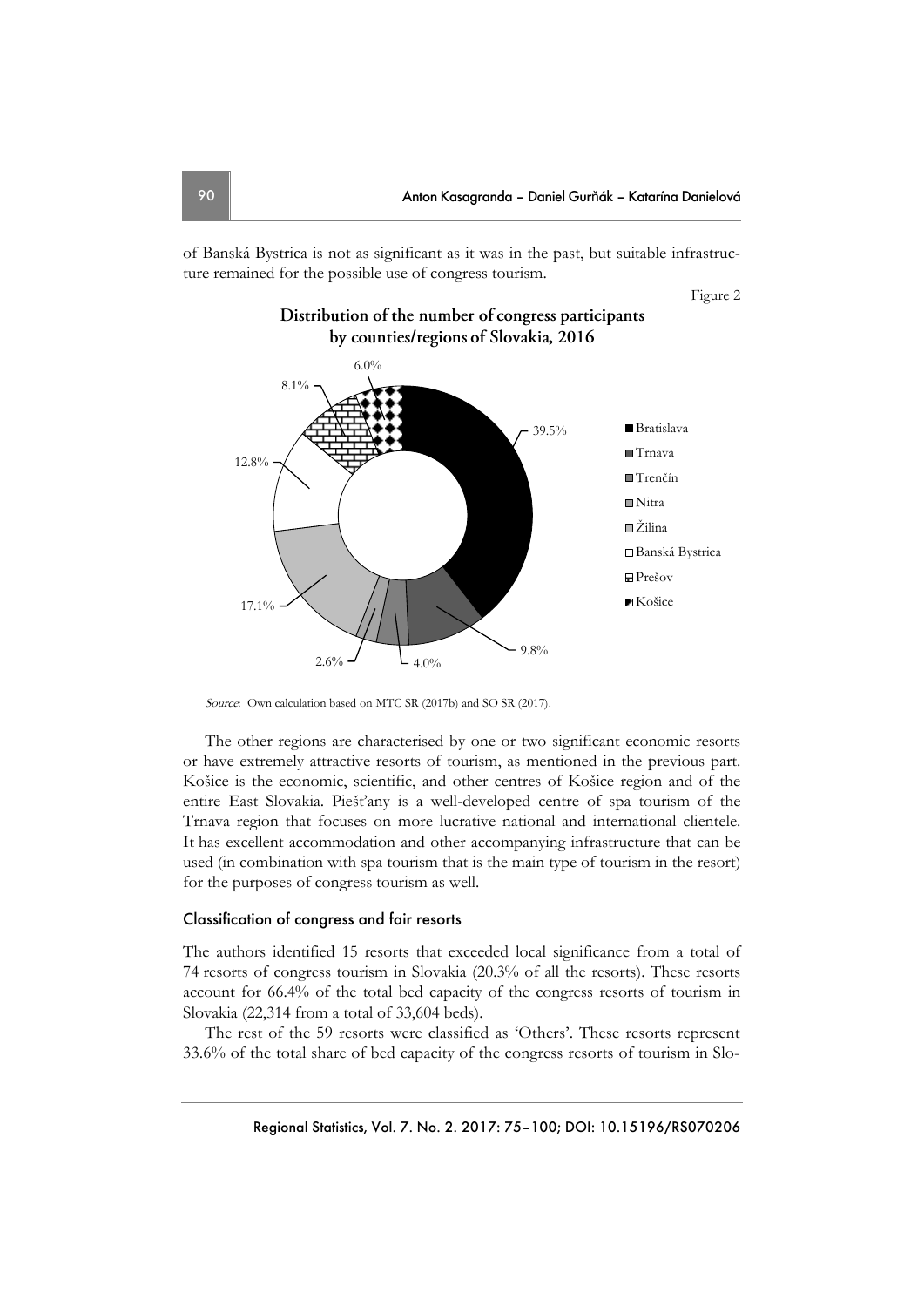of Banská Bystrica is not as significant as it was in the past, but suitable infrastructure remained for the possible use of congress tourism.

Figure 2



Source: Own calculation based on MTC SR (2017b) and SO SR (2017).

The other regions are characterised by one or two significant economic resorts or have extremely attractive resorts of tourism, as mentioned in the previous part. Košice is the economic, scientific, and other centres of Košice region and of the entire East Slovakia. Piešťany is a well-developed centre of spa tourism of the Trnava region that focuses on more lucrative national and international clientele. It has excellent accommodation and other accompanying infrastructure that can be used (in combination with spa tourism that is the main type of tourism in the resort) for the purposes of congress tourism as well.

#### Classification of congress and fair resorts

The authors identified 15 resorts that exceeded local significance from a total of 74 resorts of congress tourism in Slovakia (20.3% of all the resorts). These resorts account for 66.4% of the total bed capacity of the congress resorts of tourism in Slovakia (22,314 from a total of 33,604 beds).

The rest of the 59 resorts were classified as 'Others'. These resorts represent 33.6% of the total share of bed capacity of the congress resorts of tourism in Slo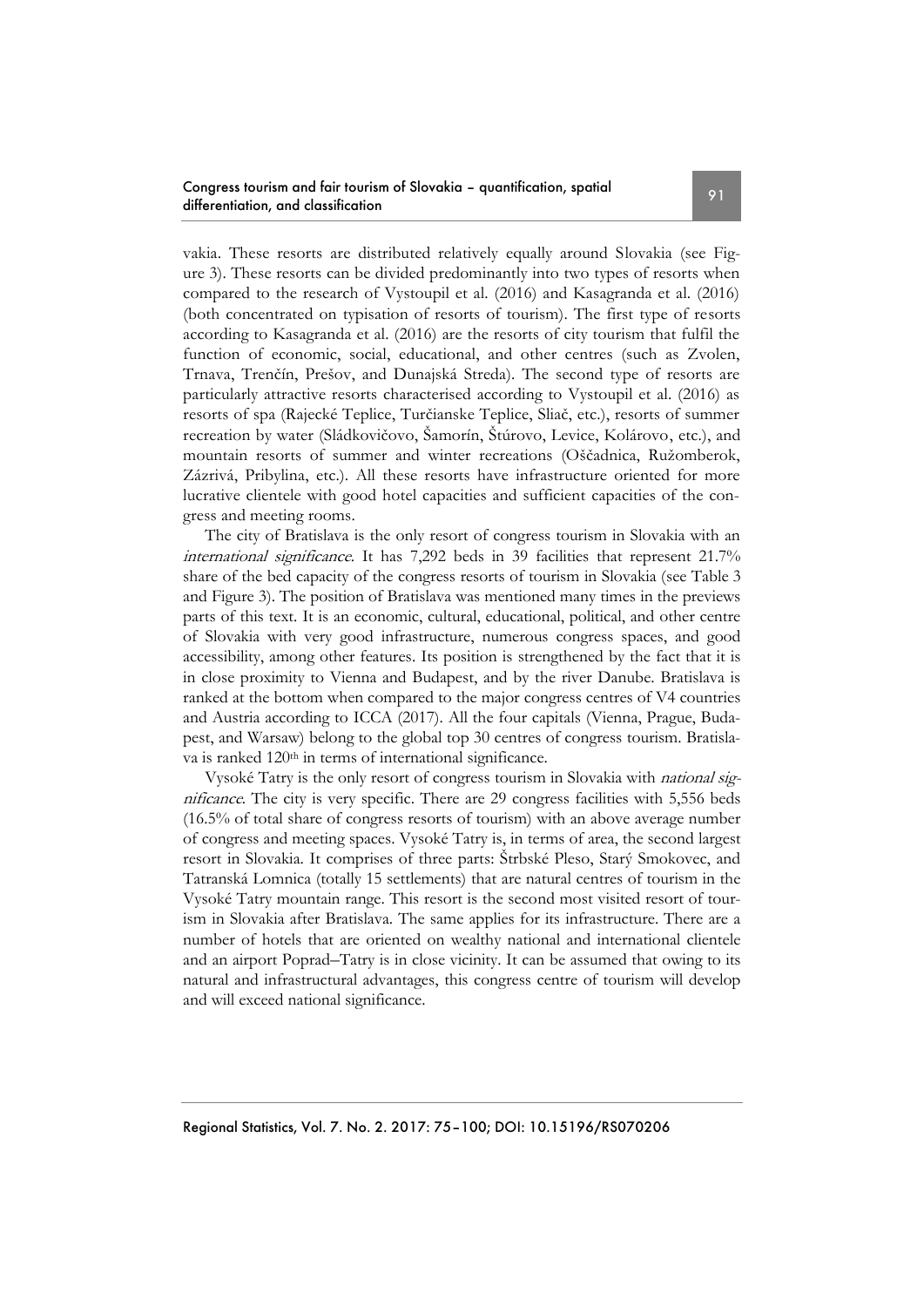vakia. These resorts are distributed relatively equally around Slovakia (see Figure 3). These resorts can be divided predominantly into two types of resorts when compared to the research of Vystoupil et al. (2016) and Kasagranda et al. (2016) (both concentrated on typisation of resorts of tourism). The first type of resorts according to Kasagranda et al. (2016) are the resorts of city tourism that fulfil the function of economic, social, educational, and other centres (such as Zvolen, Trnava, Trenčín, Prešov, and Dunajská Streda). The second type of resorts are particularly attractive resorts characterised according to Vystoupil et al. (2016) as resorts of spa (Rajecké Teplice, Turčianske Teplice, Sliač, etc.), resorts of summer recreation by water (Sládkovičovo, Šamorín, Štúrovo, Levice, Kolárovo, etc.), and mountain resorts of summer and winter recreations (Oščadnica, Ružomberok, Zázrivá, Pribylina, etc.). All these resorts have infrastructure oriented for more lucrative clientele with good hotel capacities and sufficient capacities of the congress and meeting rooms.

The city of Bratislava is the only resort of congress tourism in Slovakia with an international significance. It has 7,292 beds in 39 facilities that represent 21.7% share of the bed capacity of the congress resorts of tourism in Slovakia (see Table 3 and Figure 3). The position of Bratislava was mentioned many times in the previews parts of this text. It is an economic, cultural, educational, political, and other centre of Slovakia with very good infrastructure, numerous congress spaces, and good accessibility, among other features. Its position is strengthened by the fact that it is in close proximity to Vienna and Budapest, and by the river Danube. Bratislava is ranked at the bottom when compared to the major congress centres of V4 countries and Austria according to ICCA (2017). All the four capitals (Vienna, Prague, Budapest, and Warsaw) belong to the global top 30 centres of congress tourism. Bratislava is ranked 120<sup>th</sup> in terms of international significance.

Vysoké Tatry is the only resort of congress tourism in Slovakia with national significance. The city is very specific. There are 29 congress facilities with 5,556 beds (16.5% of total share of congress resorts of tourism) with an above average number of congress and meeting spaces. Vysoké Tatry is, in terms of area, the second largest resort in Slovakia. It comprises of three parts: Štrbské Pleso, Starý Smokovec, and Tatranská Lomnica (totally 15 settlements) that are natural centres of tourism in the Vysoké Tatry mountain range. This resort is the second most visited resort of tourism in Slovakia after Bratislava. The same applies for its infrastructure. There are a number of hotels that are oriented on wealthy national and international clientele and an airport Poprad–Tatry is in close vicinity. It can be assumed that owing to its natural and infrastructural advantages, this congress centre of tourism will develop and will exceed national significance.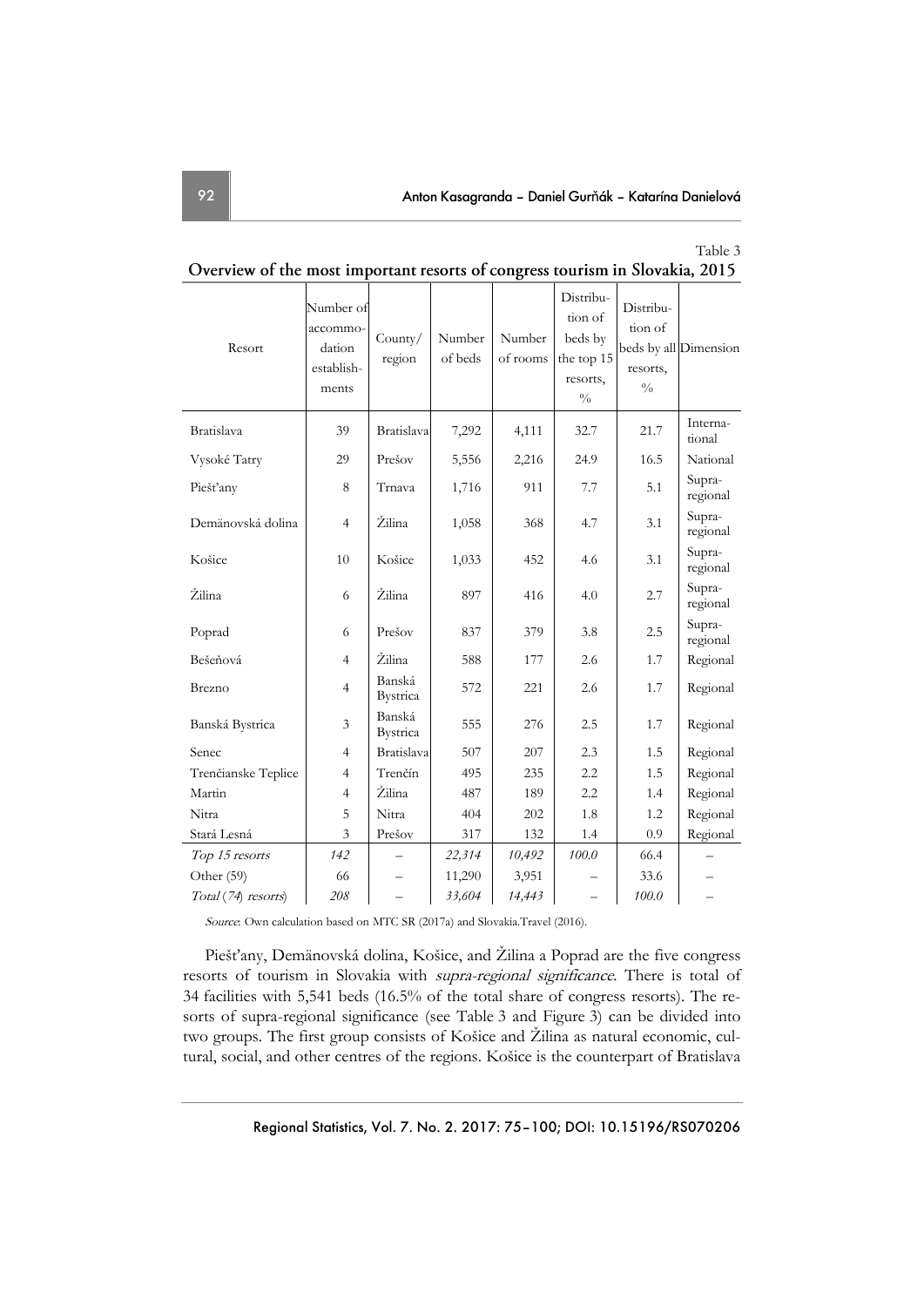Table 3

| Resort              | Number of<br>accommo-<br>dation<br>establish-<br>ments | County/<br>region         | Number<br>of beds | Number<br>of rooms | Distribu-<br>tion of<br>beds by<br>the top 15<br>resorts,<br>$\frac{0}{0}$ | Distribu-<br>tion of<br>resorts,<br>$\frac{0}{0}$ | beds by all Dimension |
|---------------------|--------------------------------------------------------|---------------------------|-------------------|--------------------|----------------------------------------------------------------------------|---------------------------------------------------|-----------------------|
| Bratislava          | 39                                                     | Bratislava                | 7,292             | 4,111              | 32.7                                                                       | 21.7                                              | Interna-<br>tional    |
| Vysoké Tatry        | 29                                                     | Prešov                    | 5,556             | 2,216              | 24.9                                                                       | 16.5                                              | National              |
| Piešťany            | 8                                                      | Trnava                    | 1,716             | 911                | 7.7                                                                        | 5.1                                               | Supra-<br>regional    |
| Demänovská dolina   | $\overline{4}$                                         | Žilina                    | 1,058             | 368                | 4.7                                                                        | 3.1                                               | Supra-<br>regional    |
| Košice              | 10                                                     | Košice                    | 1,033             | 452                | 4.6                                                                        | 3.1                                               | Supra-<br>regional    |
| Žilina              | 6                                                      | Žilina                    | 897               | 416                | 4.0                                                                        | 2.7                                               | Supra-<br>regional    |
| Poprad              | 6                                                      | Prešov                    | 837               | 379                | 3.8                                                                        | 2.5                                               | Supra-<br>regional    |
| Bešeňová            | $\overline{4}$                                         | Žilina                    | 588               | 177                | 2.6                                                                        | 1.7                                               | Regional              |
| Brezno              | $\overline{4}$                                         | Banská<br><b>Bystrica</b> | 572               | 221                | 2.6                                                                        | 1.7                                               | Regional              |
| Banská Bystrica     | 3                                                      | Banská<br>Bystrica        | 555               | 276                | 2.5                                                                        | 1.7                                               | Regional              |
| Senec               | $\overline{4}$                                         | <b>Bratislava</b>         | 507               | 207                | 2.3                                                                        | 1.5                                               | Regional              |
| Trenčianske Teplice | 4                                                      | Trenčín                   | 495               | 235                | 2.2                                                                        | 1.5                                               | Regional              |
| Martin              | $\overline{4}$                                         | Žilina                    | 487               | 189                | 2.2                                                                        | 1.4                                               | Regional              |
| Nitra               | 5                                                      | Nitra                     | 404               | 202                | 1.8                                                                        | 1.2                                               | Regional              |
| Stará Lesná         | 3                                                      | Prešov                    | 317               | 132                | 1.4                                                                        | 0.9                                               | Regional              |
| Top 15 resorts      | 142                                                    |                           | 22,314            | 10,492             | 100.0                                                                      | 66.4                                              |                       |
| Other (59)          | 66                                                     |                           | 11,290            | 3,951              |                                                                            | 33.6                                              |                       |
| Total (74) resorts) | 208                                                    |                           | 33,604            | 14,443             |                                                                            | 100.0                                             |                       |

Overview of the most important resorts of congress tourism in Slovakia, 2015

Source: Own calculation based on MTC SR (2017a) and Slovakia.Travel (2016).

Piešťany, Demänovská dolina, Košice, and Žilina a Poprad are the five congress resorts of tourism in Slovakia with supra-regional significance. There is total of 34 facilities with 5,541 beds (16.5% of the total share of congress resorts). The resorts of supra-regional significance (see Table 3 and Figure 3) can be divided into two groups. The first group consists of Košice and Žilina as natural economic, cultural, social, and other centres of the regions. Košice is the counterpart of Bratislava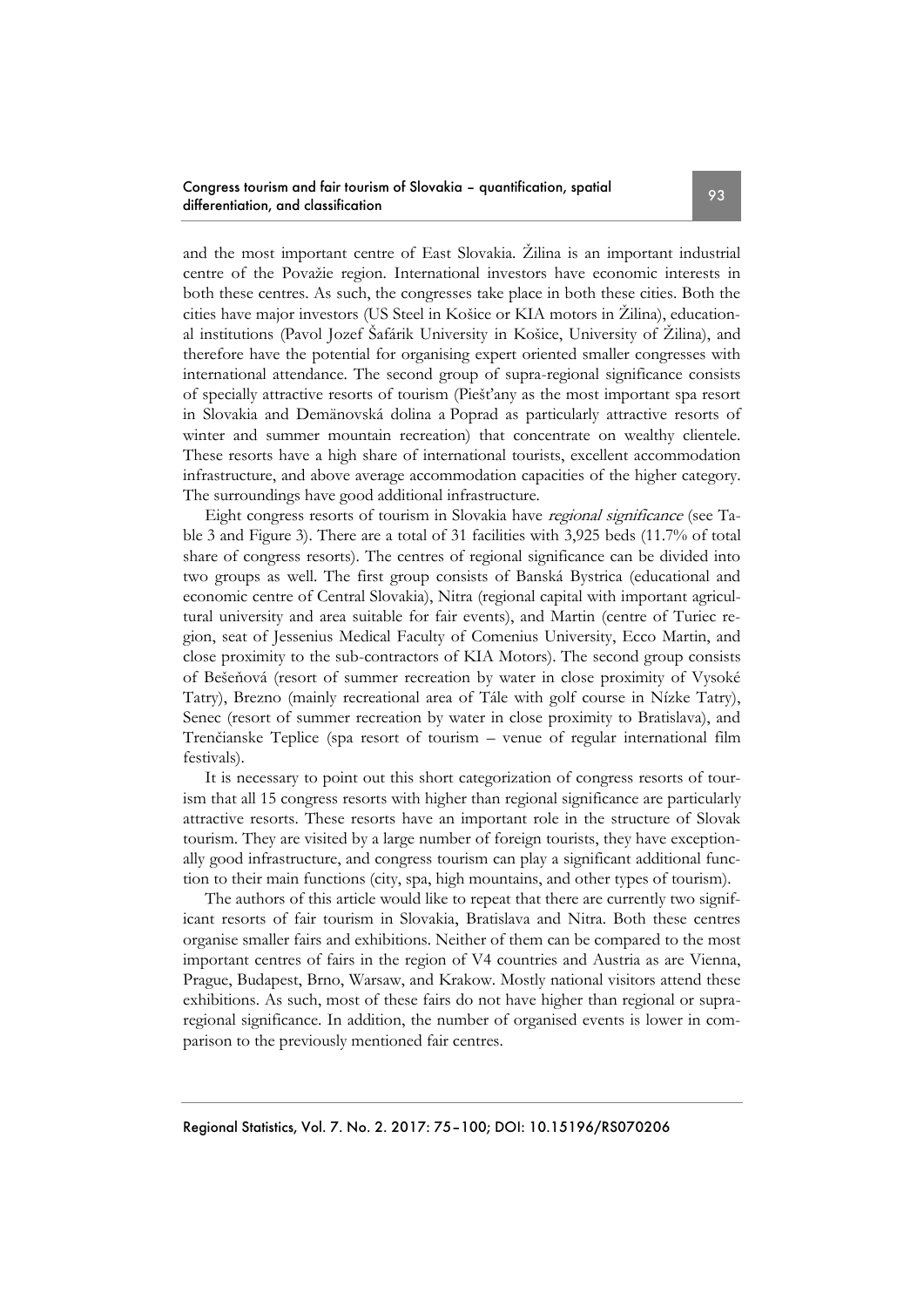and the most important centre of East Slovakia. Žilina is an important industrial centre of the Považie region. International investors have economic interests in both these centres. As such, the congresses take place in both these cities. Both the cities have major investors (US Steel in Košice or KIA motors in Žilina), educational institutions (Pavol Jozef Šafárik University in Košice, University of Žilina), and therefore have the potential for organising expert oriented smaller congresses with international attendance. The second group of supra-regional significance consists of specially attractive resorts of tourism (Piešťany as the most important spa resort in Slovakia and Demänovská dolina a Poprad as particularly attractive resorts of winter and summer mountain recreation) that concentrate on wealthy clientele. These resorts have a high share of international tourists, excellent accommodation infrastructure, and above average accommodation capacities of the higher category. The surroundings have good additional infrastructure.

Eight congress resorts of tourism in Slovakia have regional significance (see Table 3 and Figure 3). There are a total of 31 facilities with 3,925 beds (11.7% of total share of congress resorts). The centres of regional significance can be divided into two groups as well. The first group consists of Banská Bystrica (educational and economic centre of Central Slovakia), Nitra (regional capital with important agricultural university and area suitable for fair events), and Martin (centre of Turiec region, seat of Jessenius Medical Faculty of Comenius University, Ecco Martin, and close proximity to the sub-contractors of KIA Motors). The second group consists of Bešeňová (resort of summer recreation by water in close proximity of Vysoké Tatry), Brezno (mainly recreational area of Tále with golf course in Nízke Tatry), Senec (resort of summer recreation by water in close proximity to Bratislava), and Trenčianske Teplice (spa resort of tourism – venue of regular international film festivals).

It is necessary to point out this short categorization of congress resorts of tourism that all 15 congress resorts with higher than regional significance are particularly attractive resorts. These resorts have an important role in the structure of Slovak tourism. They are visited by a large number of foreign tourists, they have exceptionally good infrastructure, and congress tourism can play a significant additional function to their main functions (city, spa, high mountains, and other types of tourism).

The authors of this article would like to repeat that there are currently two significant resorts of fair tourism in Slovakia, Bratislava and Nitra. Both these centres organise smaller fairs and exhibitions. Neither of them can be compared to the most important centres of fairs in the region of V4 countries and Austria as are Vienna, Prague, Budapest, Brno, Warsaw, and Krakow. Mostly national visitors attend these exhibitions. As such, most of these fairs do not have higher than regional or supraregional significance. In addition, the number of organised events is lower in comparison to the previously mentioned fair centres.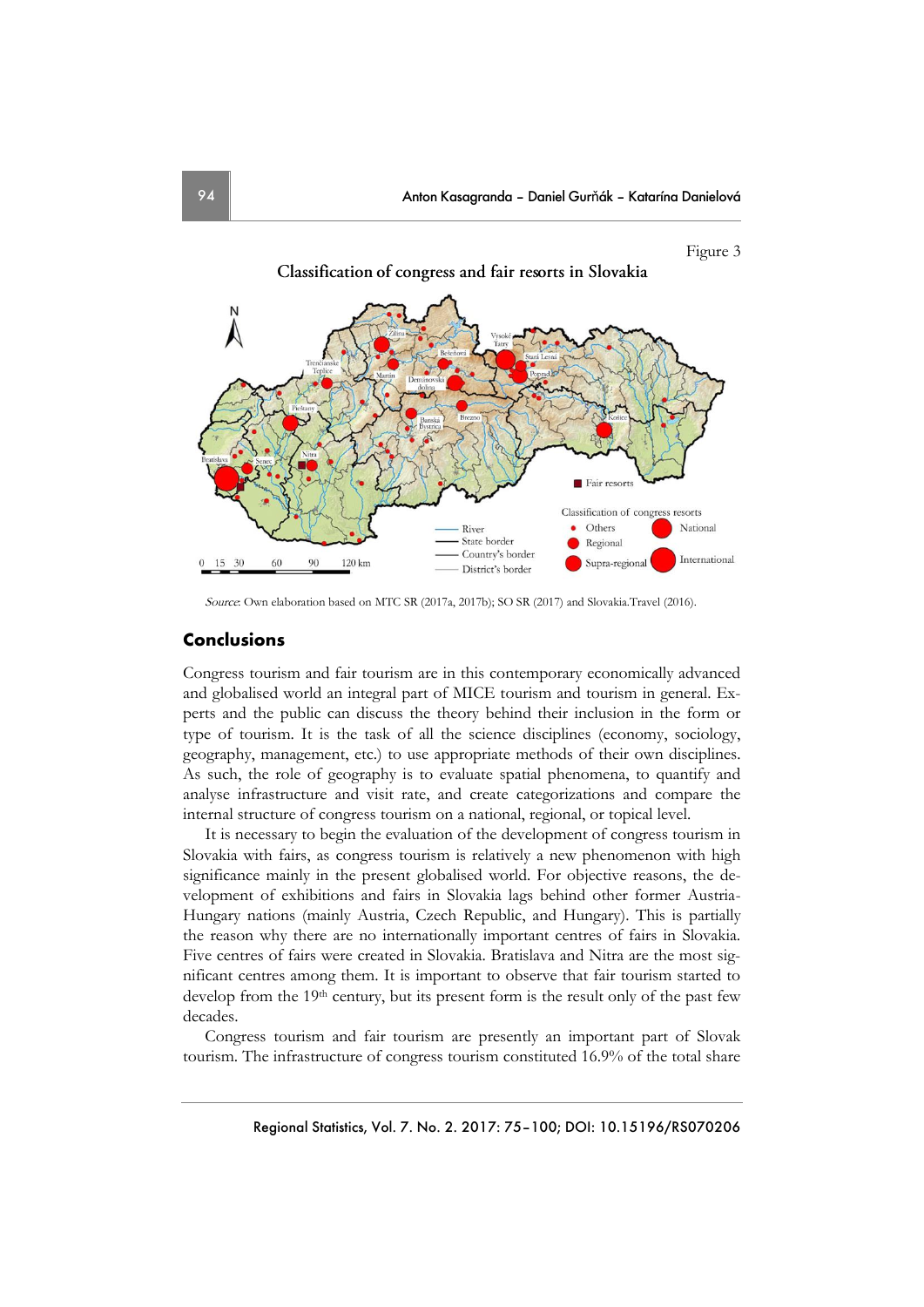

Source: Own elaboration based on MTC SR (2017a, 2017b); SO SR (2017) and Slovakia.Travel (2016).

# **Conclusions**

Congress tourism and fair tourism are in this contemporary economically advanced and globalised world an integral part of MICE tourism and tourism in general. Experts and the public can discuss the theory behind their inclusion in the form or type of tourism. It is the task of all the science disciplines (economy, sociology, geography, management, etc.) to use appropriate methods of their own disciplines. As such, the role of geography is to evaluate spatial phenomena, to quantify and analyse infrastructure and visit rate, and create categorizations and compare the internal structure of congress tourism on a national, regional, or topical level.

It is necessary to begin the evaluation of the development of congress tourism in Slovakia with fairs, as congress tourism is relatively a new phenomenon with high significance mainly in the present globalised world. For objective reasons, the development of exhibitions and fairs in Slovakia lags behind other former Austria-Hungary nations (mainly Austria, Czech Republic, and Hungary). This is partially the reason why there are no internationally important centres of fairs in Slovakia. Five centres of fairs were created in Slovakia. Bratislava and Nitra are the most significant centres among them. It is important to observe that fair tourism started to develop from the  $19<sup>th</sup>$  century, but its present form is the result only of the past few decades.

Congress tourism and fair tourism are presently an important part of Slovak tourism. The infrastructure of congress tourism constituted 16.9% of the total share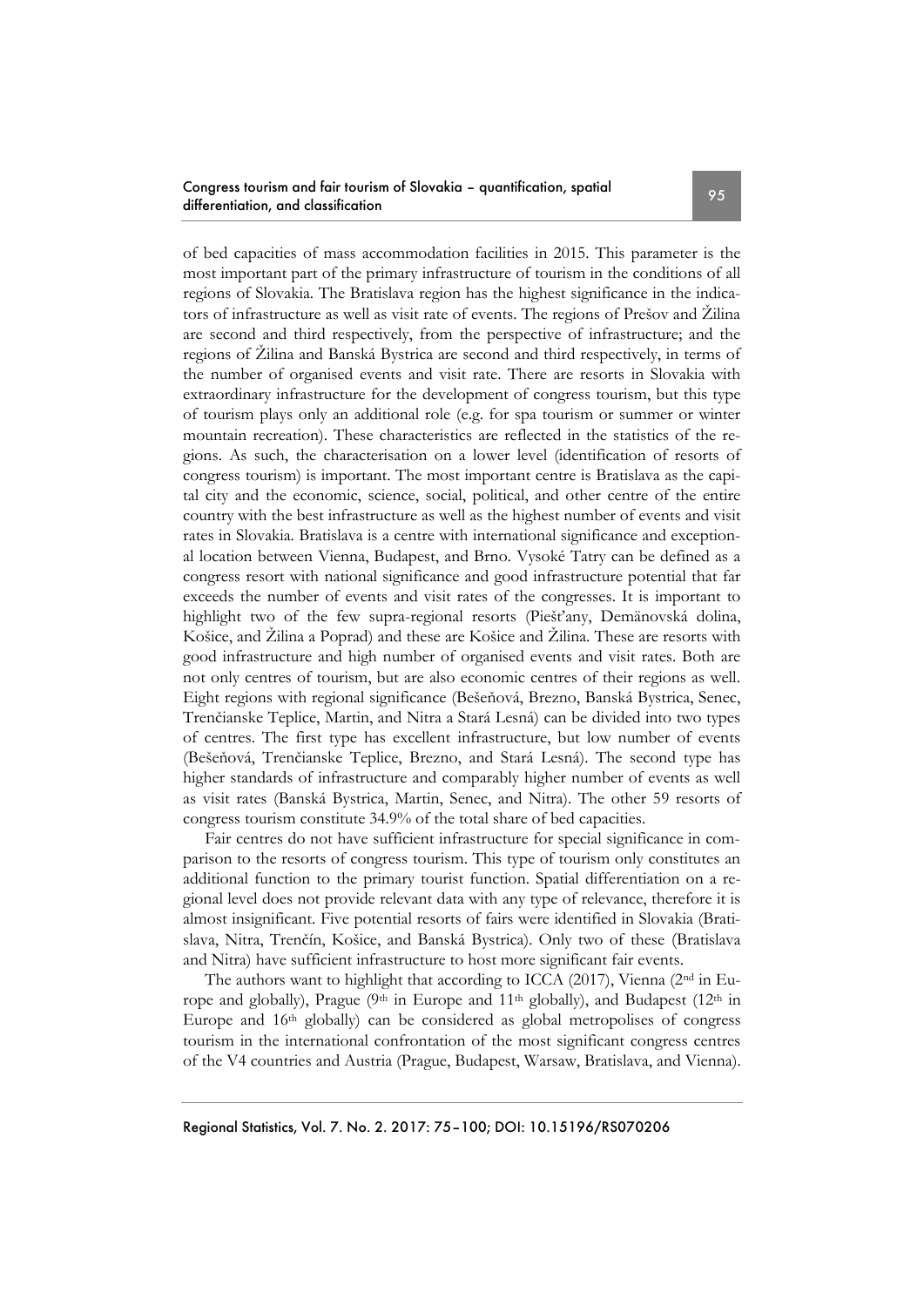### Congress tourism and fair tourism of Slovakia – quantification, spatial Congress fourism and fair fourism or Slovakia – quantification, spallar extension of the 95

of bed capacities of mass accommodation facilities in 2015. This parameter is the most important part of the primary infrastructure of tourism in the conditions of all regions of Slovakia. The Bratislava region has the highest significance in the indicators of infrastructure as well as visit rate of events. The regions of Prešov and Žilina are second and third respectively, from the perspective of infrastructure; and the regions of Žilina and Banská Bystrica are second and third respectively, in terms of the number of organised events and visit rate. There are resorts in Slovakia with extraordinary infrastructure for the development of congress tourism, but this type of tourism plays only an additional role (e.g. for spa tourism or summer or winter mountain recreation). These characteristics are reflected in the statistics of the regions. As such, the characterisation on a lower level (identification of resorts of congress tourism) is important. The most important centre is Bratislava as the capital city and the economic, science, social, political, and other centre of the entire country with the best infrastructure as well as the highest number of events and visit rates in Slovakia. Bratislava is a centre with international significance and exceptional location between Vienna, Budapest, and Brno. Vysoké Tatry can be defined as a congress resort with national significance and good infrastructure potential that far exceeds the number of events and visit rates of the congresses. It is important to highlight two of the few supra-regional resorts (Piešťany, Demänovská dolina, Košice, and Žilina a Poprad) and these are Košice and Žilina. These are resorts with good infrastructure and high number of organised events and visit rates. Both are not only centres of tourism, but are also economic centres of their regions as well. Eight regions with regional significance (Bešeňová, Brezno, Banská Bystrica, Senec, Trenčianske Teplice, Martin, and Nitra a Stará Lesná) can be divided into two types of centres. The first type has excellent infrastructure, but low number of events (Bešeňová, Trenčianske Teplice, Brezno, and Stará Lesná). The second type has higher standards of infrastructure and comparably higher number of events as well as visit rates (Banská Bystrica, Martin, Senec, and Nitra). The other 59 resorts of congress tourism constitute 34.9% of the total share of bed capacities.

Fair centres do not have sufficient infrastructure for special significance in comparison to the resorts of congress tourism. This type of tourism only constitutes an additional function to the primary tourist function. Spatial differentiation on a regional level does not provide relevant data with any type of relevance, therefore it is almost insignificant. Five potential resorts of fairs were identified in Slovakia (Bratislava, Nitra, Trenčín, Košice, and Banská Bystrica). Only two of these (Bratislava and Nitra) have sufficient infrastructure to host more significant fair events.

The authors want to highlight that according to ICCA (2017), Vienna (2nd in Europe and globally), Prague ( $9th$  in Europe and  $11th$  globally), and Budapest ( $12th$  in Europe and 16th globally) can be considered as global metropolises of congress tourism in the international confrontation of the most significant congress centres of the V4 countries and Austria (Prague, Budapest, Warsaw, Bratislava, and Vienna).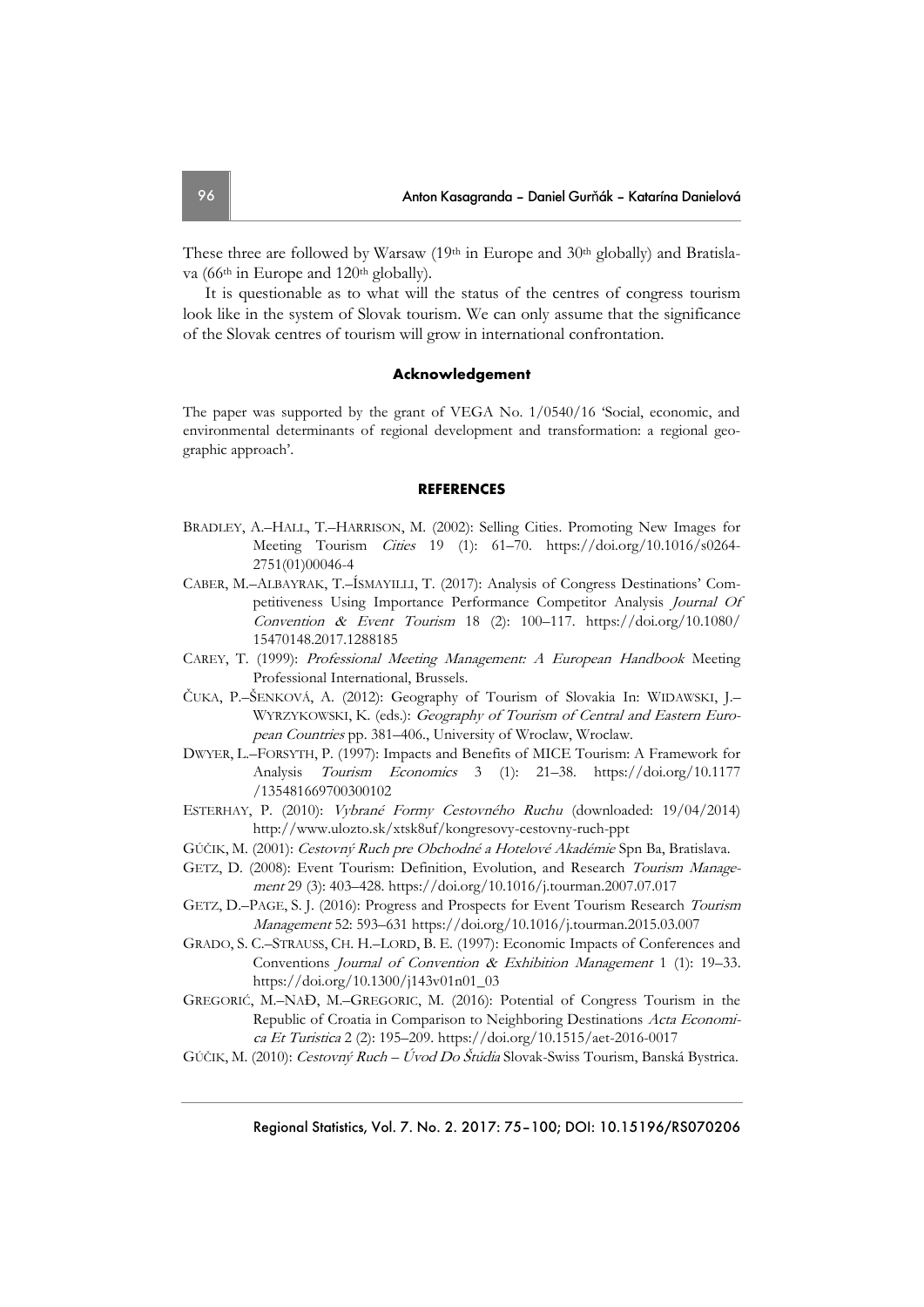These three are followed by Warsaw (19th in Europe and 30th globally) and Bratislava (66<sup>th</sup> in Europe and 120<sup>th</sup> globally).

It is questionable as to what will the status of the centres of congress tourism look like in the system of Slovak tourism. We can only assume that the significance of the Slovak centres of tourism will grow in international confrontation.

#### **Acknowledgement**

The paper was supported by the grant of VEGA No. 1/0540/16 'Social, economic, and environmental determinants of regional development and transformation: a regional geographic approach'.

#### **REFERENCES**

- BRADLEY, A.–HALL, T.–HARRISON, M. (2002): Selling Cities. Promoting New Images for Meeting Tourism Cities 19 (1): 61–70. [https://doi.org/10.1016/s0264-](https://doi.org/10.1016/s0264-2751(01)00046-4) [2751\(01\)00046-4](https://doi.org/10.1016/s0264-2751(01)00046-4)
- CABER, M.–ALBAYRAK, T.–ÍSMAYILLI, T. (2017): Analysis of Congress Destinations' Competitiveness Using Importance Performance Competitor Analysis Journal Of Convention & Event Tourism 18 (2): 100-117. [https://doi.org/10.1080/](https://doi.org/10.1080/15470148.2017.1288185) [15470148.2017.1288185](https://doi.org/10.1080/15470148.2017.1288185)
- CAREY, T. (1999): Professional Meeting Management: A European Handbook Meeting Professional International, Brussels.
- ČUKA, P.–ŠENKOVÁ, A. (2012): Geography of Tourism of Slovakia In: WIDAWSKI, J.– WYRZYKOWSKI, K. (eds.): Geography of Tourism of Central and Eastern European Countries pp. 381–406., University of Wroclaw, Wroclaw.
- DWYER, L.–FORSYTH, P. (1997): Impacts and Benefits of MICE Tourism: A Framework for Analysis Tourism Economics 3 (1): 21–38. [https://doi.org/10.1177](https://doi.org/10.1177/135481669700300102) [/135481669700300102](https://doi.org/10.1177/135481669700300102)
- ESTERHAY, P. (2010): Vybrané Formy Cestovného Ruchu (downloaded: 19/04/2014) [http://www.ulozto.sk/xtsk8uf/kongresovy-cestovny-ruch-ppt](http://www.ulozto.sk/xtsK8UF/kongresovy-cestovny-ruch-ppt)
- GÚČIK, M. (2001): Cestovný Ruch pre Obchodné a Hotelové Akadémie Spn Ba, Bratislava.
- GETZ, D. (2008): Event Tourism: Definition, Evolution, and Research Tourism Management 29 (3): 403–428. <https://doi.org/10.1016/j.tourman.2007.07.017>
- GETZ, D.–PAGE, S. J. (2016): Progress and Prospects for Event Tourism Research Tourism Management 52: 593–631 <https://doi.org/10.1016/j.tourman.2015.03.007>
- GRADO, S. C.–STRAUSS, CH. H.–LORD, B. E. (1997): Economic Impacts of Conferences and Conventions Journal of Convention & Exhibition Management 1 (1): 19–33. [https://doi.org/10.1300/j143v01n01\\_03](https://doi.org/10.1300/j143v01n01_03)
- GREGORIĆ, M.–NAĐ, M.–GREGORIC, M. (2016): Potential of Congress Tourism in the Republic of Croatia in Comparison to Neighboring Destinations Acta Economica Et Turistica 2 (2): 195–209. <https://doi.org/10.1515/aet-2016-0017>
- GÚČIK, M. (2010): Cestovný Ruch Úvod Do Štúdia Slovak-Swiss Tourism, Banská Bystrica.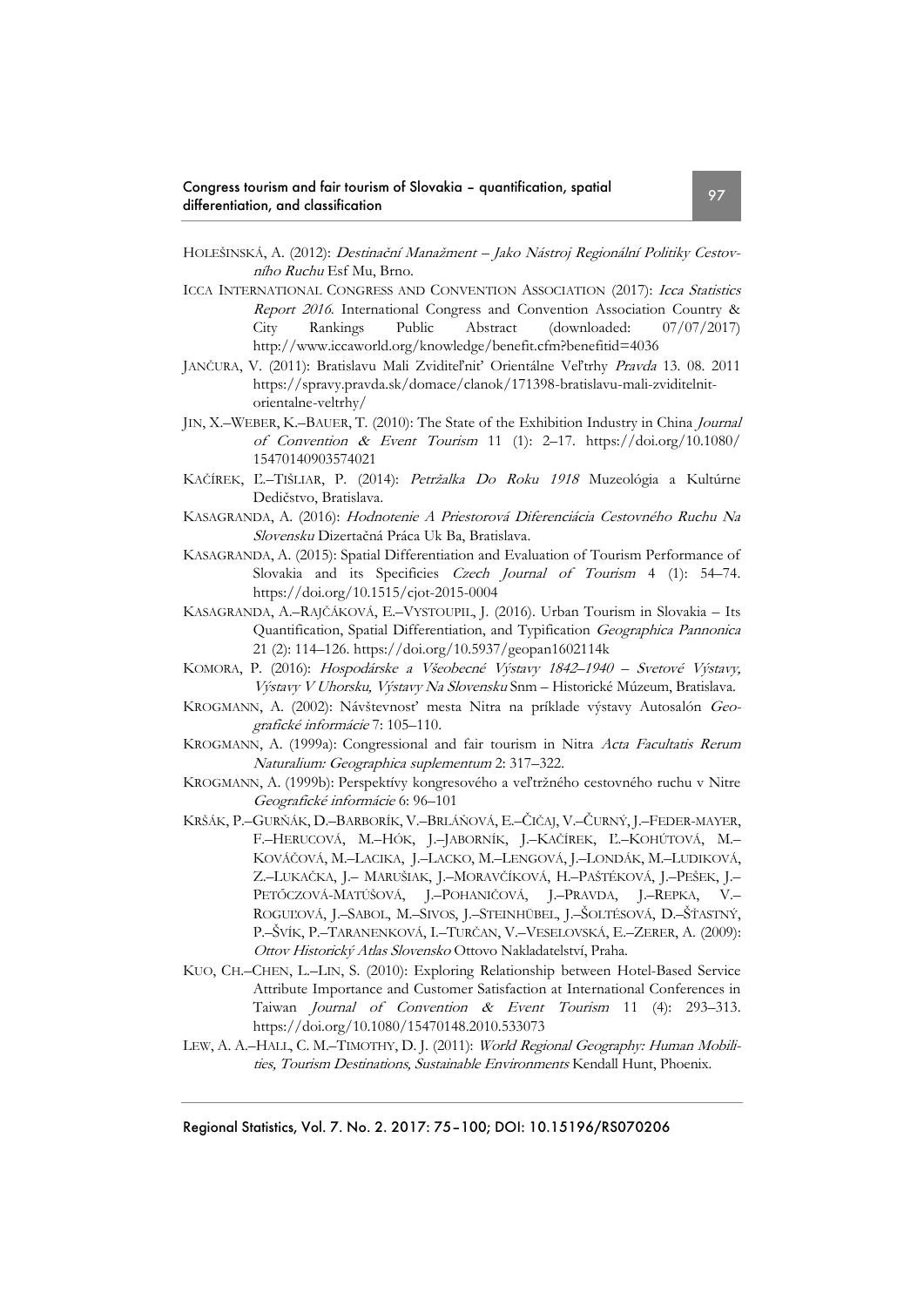- HOLEŠINSKÁ, A. (2012): Destinační Manažment Jako Nástroj Regionální Politiky Cestovního Ruchu Esf Mu, Brno.
- ICCA INTERNATIONAL CONGRESS AND CONVENTION ASSOCIATION (2017): Icca Statistics Report 2016. International Congress and Convention Association Country & City Rankings Public Abstract (downloaded: 07/07/2017) http://www.iccaworld.org/knowledge/benefit.cfm?benefitid=4036
- JANČURA, V. (2011): Bratislavu Mali Zviditeľniť Orientálne Veľtrhy Pravda 13. 08. 2011 [https://spravy.pravda.sk/domace/clanok/171398-bratislavu-mali-zviditelnit](https://spravy.pravda.sk/domace/clanok/171398-bratislavu-mali-zviditelnit-orientalne-veltrhy/)[orientalne-veltrhy/](https://spravy.pravda.sk/domace/clanok/171398-bratislavu-mali-zviditelnit-orientalne-veltrhy/)
- JIN, X.–WEBER, K.–BAUER, T. (2010): The State of the Exhibition Industry in China Journal of Convention & Event Tourism 11 (1): 2–17. [https://doi.org/10.1080/](https://doi.org/10.1080/15470140903574021) [15470140903574021](https://doi.org/10.1080/15470140903574021)
- KAČÍREK, Ľ.–TIŠLIAR, P. (2014): Petržalka Do Roku 1918 Muzeológia a Kultúrne Dedičstvo, Bratislava.
- KASAGRANDA, A. (2016): Hodnotenie A Priestorová Diferenciácia Cestovného Ruchu Na Slovensku Dizertačná Práca Uk Ba, Bratislava.
- KASAGRANDA, A. (2015): Spatial Differentiation and Evaluation of Tourism Performance of Slovakia and its Specificies Czech Journal of Tourism 4 (1): 54–74. <https://doi.org/10.1515/cjot-2015-0004>
- KASAGRANDA, A.–RAJČÁKOVÁ, E.–VYSTOUPIL, J. (2016). Urban Tourism in Slovakia Its Quantification, Spatial Differentiation, and Typification Geographica Pannonica 21 (2): 114–126.<https://doi.org/10.5937/geopan1602114k>
- KOMORA, P. (2016): Hospodárske a Všeobecné Výstavy 1842–1940 Svetové Výstavy, Výstavy V Uhorsku, Výstavy Na Slovensku Snm – Historické Múzeum, Bratislava.
- KROGMANN, A. (2002): Návštevnosť mesta Nitra na príklade výstavy Autosalón Geografické informácie 7: 105–110.
- KROGMANN, A. (1999a): Congressional and fair tourism in Nitra Acta Facultatis Rerum Naturalium: Geographica suplementum 2: 317–322.
- KROGMANN, A. (1999b): Perspektívy kongresového a veľtržného cestovného ruchu v Nitre Geografické informácie 6: 96–101
- KRŠÁK, P.–GURŇÁK, D.–BARBORÍK, V.–BRLÁŇOVÁ, E.–ČIČAJ, V.–ČURNÝ, J.–FEDER-MAYER, F.–HERUCOVÁ, M.–HÓK, J.–JABORNÍK, J.–KAČÍREK, Ľ.–KOHÚTOVÁ, M.– KOVÁČOVÁ, M.–LACIKA, J.–LACKO, M.–LENGOVÁ, J.–LONDÁK, M.–LUDIKOVÁ, Z.–LUKAČKA, J.– MARUŠIAK, J.–MORAVČÍKOVÁ, H.–PAŠTÉKOVÁ, J.–PEŠEK, J.– PETŐCZOVÁ-MATÚŠOVÁ, J.–POHANIČOVÁ, J.–PRAVDA, J.–REPKA, V.– ROGUĽOVÁ, J.–SABOL, M.–SIVOS, J.–STEINHÜBEL, J.–ŠOLTÉSOVÁ, D.–ŠŤASTNÝ, P.–ŠVÍK, P.–TARANENKOVÁ, I.–TURČAN, V.–VESELOVSKÁ, E.–ZERER, A. (2009): Ottov Historický Atlas Slovensko Ottovo Nakladatelství, Praha.
- KUO, CH.–CHEN, L.–LIN, S. (2010): Exploring Relationship between Hotel-Based Service Attribute Importance and Customer Satisfaction at International Conferences in Taiwan Journal of Convention & Event Tourism 11 (4): 293–313. <https://doi.org/10.1080/15470148.2010.533073>
- LEW, A. A.-HALL, C. M.-TIMOTHY, D. J. (2011): World Regional Geography: Human Mobilities, Tourism Destinations, Sustainable Environments Kendall Hunt, Phoenix.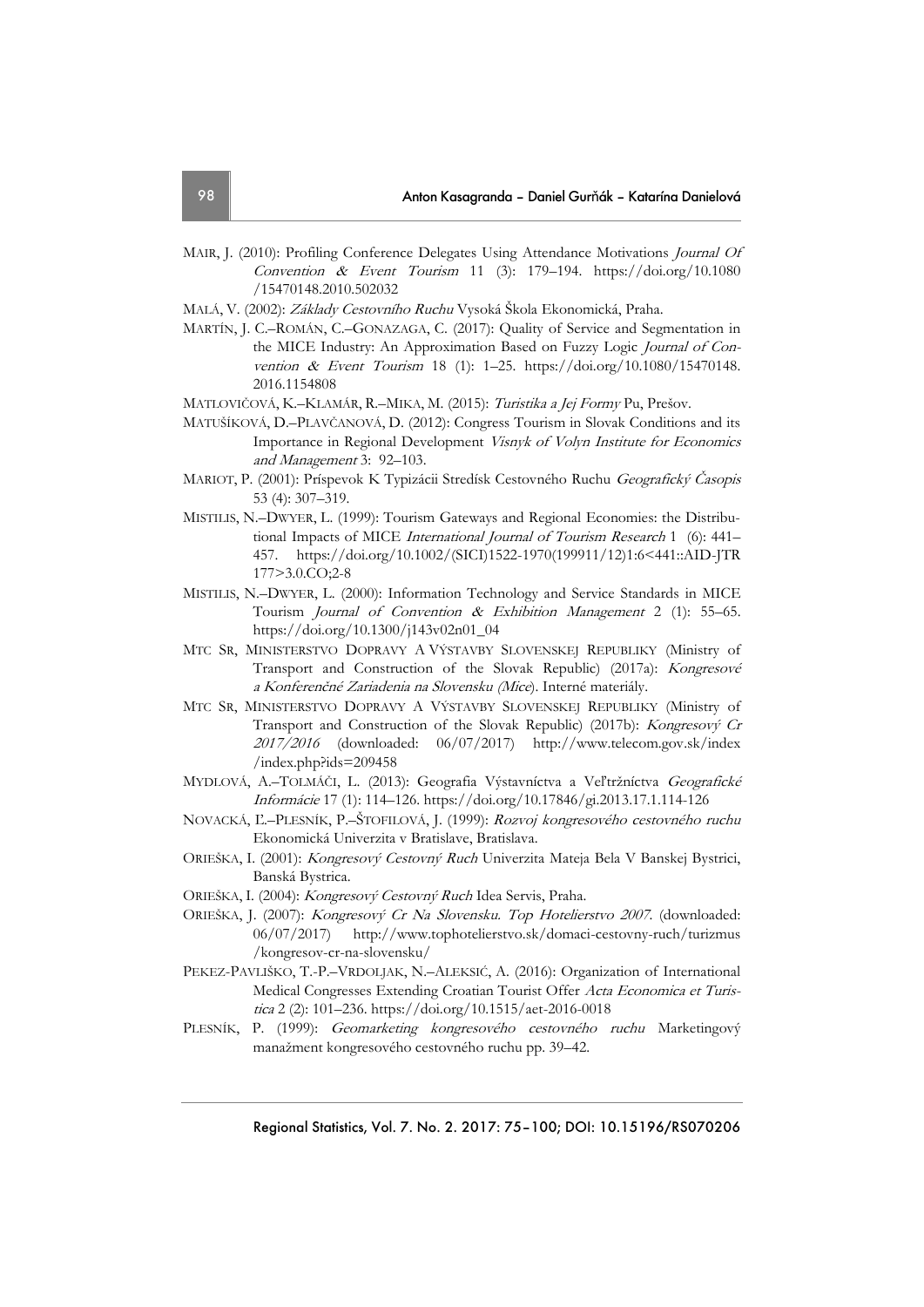- MAIR, J. (2010): Profiling Conference Delegates Using Attendance Motivations Journal Of Convention & Event Tourism 11 (3): 179-194. [https://doi.org/10.1080](https://doi.org/10.1080/15470148.2010.502032) [/15470148.2010.502032](https://doi.org/10.1080/15470148.2010.502032)
- MALÁ, V. (2002): Základy Cestovního Ruchu Vysoká Škola Ekonomická, Praha.
- MARTÍN, J. C.–ROMÁN, C.–GONAZAGA, C. (2017): Quality of Service and Segmentation in the MICE Industry: An Approximation Based on Fuzzy Logic Journal of Convention & Event Tourism 18 (1): 1–25. [https://doi.org/10.1080/15470148.](https://doi.org/10.1080/15470148.2016.1154808) [2016.1154808](https://doi.org/10.1080/15470148.2016.1154808)
- MATLOVIČOVÁ, K.–KLAMÁR, R.–MIKA, M. (2015): Turistika a Jej Formy Pu, Prešov.
- MATUŠÍKOVÁ, D.–PLAVČANOVÁ, D. (2012): Congress Tourism in Slovak Conditions and its Importance in Regional Development Visnyk of Volyn Institute for Economics and Management 3: 92–103.
- MARIOT, P. (2001): Príspevok K Typizácii Stredísk Cestovného Ruchu Geografický Časopis 53 (4): 307–319.
- MISTILIS, N.–DWYER, L. (1999): Tourism Gateways and Regional Economies: the Distributional Impacts of MICE International Journal of Tourism Research 1 (6): 441– 457. https://doi.org/10.1002/(SICI)1522-1970(199911/12)1:6<441::AID-JTR 177>3.0.CO;2-8
- MISTILIS, N.–DWYER, L. (2000): Information Technology and Service Standards in MICE Tourism Journal of Convention & Exhibition Management 2 (1): 55–65. [https://doi.org/10.1300/j143v02n01\\_04](https://doi.org/10.1300/j143v02n01_04)
- MTC SR, MINISTERSTVO DOPRAVY A VÝSTAVBY SLOVENSKEJ REPUBLIKY (Ministry of Transport and Construction of the Slovak Republic) (2017a): Kongresové <sup>a</sup> Konferenčné Zariadenia na Slovensku (Mice). Interné materiály.
- MTC SR, MINISTERSTVO DOPRAVY A VÝSTAVBY SLOVENSKEJ REPUBLIKY (Ministry of Transport and Construction of the Slovak Republic) (2017b): Kongresový Cr 2017/2016 (downloaded: 06/07/2017) http://www.telecom.gov.sk/index /index.php?ids=209458
- MYDLOVÁ, A.–TOLMÁČI, L. (2013): Geografia Výstavníctva a Veľtržníctva Geografické Informácie 17 (1): 114–126.<https://doi.org/10.17846/gi.2013.17.1.114-126>
- NOVACKÁ, Ľ.–PLESNÍK, P.–ŠTOFILOVÁ, J. (1999): Rozvoj kongresového cestovného ruchu Ekonomická Univerzita v Bratislave, Bratislava.
- ORIEŠKA, I. (2001): Kongresový Cestovný Ruch Univerzita Mateja Bela V Banskej Bystrici, Banská Bystrica.
- ORIEŠKA, I. (2004): Kongresový Cestovný Ruch Idea Servis, Praha.
- ORIEŠKA, J. (2007): Kongresový Cr Na Slovensku. Top Hotelierstvo 2007. (downloaded: 06/07/2017) [http://www.tophotelierstvo.sk/domaci-cestovny-ruch/turizmus](http://www.tophotelierstvo.sk/domaci-cestovny-ruch/turizmus/kongresov-cr-na-slovensku/) [/kongresov-cr-na-slovensku/](http://www.tophotelierstvo.sk/domaci-cestovny-ruch/turizmus/kongresov-cr-na-slovensku/)
- PEKEZ-PAVLIŠKO, T.-P.–VRDOLJAK, N.–ALEKSIĆ, A. (2016): Organization of International Medical Congresses Extending Croatian Tourist Offer Acta Economica et Turistica 2 (2): 101–236. <https://doi.org/10.1515/aet-2016-0018>
- PLESNÍK, P. (1999): Geomarketing kongresového cestovného ruchu Marketingový manažment kongresového cestovného ruchu pp. 39–42.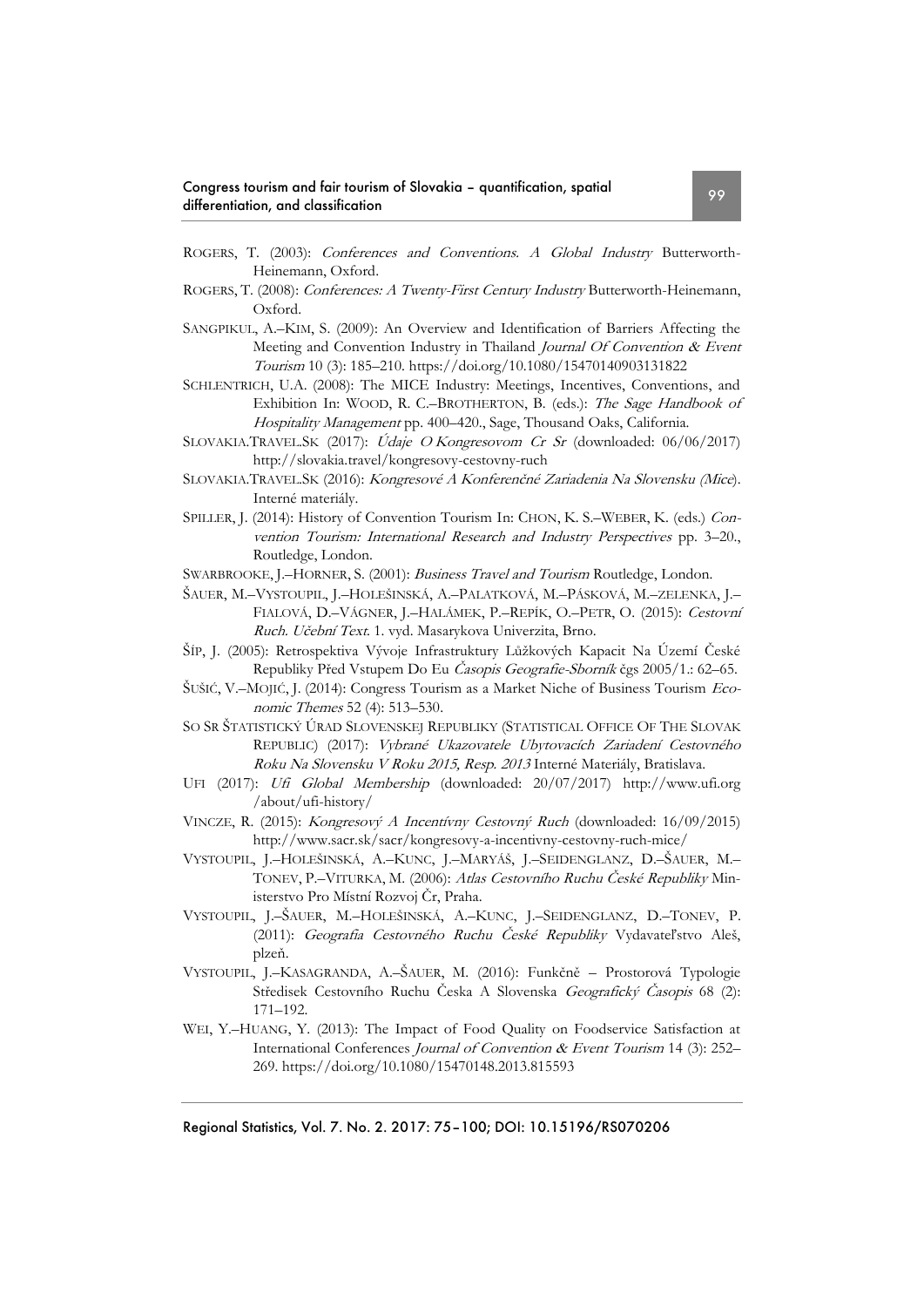- ROGERS, T. (2003): Conferences and Conventions. A Global Industry Butterworth-Heinemann, Oxford.
- ROGERS, T. (2008): Conferences: A Twenty-First Century Industry Butterworth-Heinemann, Oxford.
- SANGPIKUL, A.–KIM, S. (2009): An Overview and Identification of Barriers Affecting the Meeting and Convention Industry in Thailand Journal Of Convention & Event Tourism 10 (3): 185–210[. https://doi.org/10.1080/15470140903131822](https://doi.org/10.1080/15470140903131822)
- SCHLENTRICH, U.A. (2008): The MICE Industry: Meetings, Incentives, Conventions, and Exhibition In: WOOD, R. C.–BROTHERTON, B. (eds.): The Sage Handbook of Hospitality Management pp. 400–420., Sage, Thousand Oaks, California.
- SLOVAKIA.TRAVEL.SK (2017): Údaje O Kongresovom Cr Sr (downloaded: 06/06/2017) http://slovakia.travel/kongresovy-cestovny-ruch
- SLOVAKIA.TRAVEL.SK (2016): Kongresové A Konferenčné Zariadenia Na Slovensku (Mice). Interné materiály.
- SPILLER, J. (2014): History of Convention Tourism In: CHON, K. S.–WEBER, K. (eds.) Convention Tourism: International Research and Industry Perspectives pp. 3–20., Routledge, London.
- SWARBROOKE, J.-HORNER, S. (2001): Business Travel and Tourism Routledge, London.
- ŠAUER, M.–VYSTOUPIL, J.–HOLEŠINSKÁ, A.–PALATKOVÁ, M.–PÁSKOVÁ, M.–ZELENKA, J.– FIALOVÁ, D.–VÁGNER, J.–HALÁMEK, P.–REPÍK, O.–PETR, O. (2015): Cestovní Ruch. Učební Text. 1. vyd. Masarykova Univerzita, Brno.
- ŠÍP, J. (2005): Retrospektiva Vývoje Infrastruktury Lůžkových Kapacit Na Území České Republiky Před Vstupem Do Eu Časopis Geografie-Sborník čgs 2005/1.: 62–65.
- ŠUŠIĆ, V.–MOJIĆ, J. (2014): Congress Tourism as a Market Niche of Business Tourism Economic Themes 52 (4): 513–530.
- SO SR ŠTATISTICKÝ ÚRAD SLOVENSKEJ REPUBLIKY (STATISTICAL OFFICE OF THE SLOVAK REPUBLIC) (2017): Vybrané Ukazovatele Ubytovacích Zariadení Cestovného Roku Na Slovensku V Roku 2015, Resp. 2013 Interné Materiály, Bratislava.
- UFI (2017): Ufi Global Membership (downloaded: 20/07/2017) [http://www.ufi.org](http://www.ufi.org/about/ufi-history/) [/about/ufi-history/](http://www.ufi.org/about/ufi-history/)
- VINCZE, R. (2015): Kongresový A Incentívny Cestovný Ruch (downloaded: 16/09/2015) <http://www.sacr.sk/sacr/kongresovy-a-incentivny-cestovny-ruch-mice/>
- VYSTOUPIL, J.–HOLEŠINSKÁ, A.–KUNC, J.–MARYÁŠ, J.–SEIDENGLANZ, D.–ŠAUER, M.– TONEV, P.–VITURKA, M. (2006): Atlas Cestovního Ruchu České Republiky Ministerstvo Pro Místní Rozvoj Čr, Praha.
- VYSTOUPIL, J.–ŠAUER, M.–HOLEŠINSKÁ, A.–KUNC, J.–SEIDENGLANZ, D.–TONEV, P. (2011): Geografia Cestovného Ruchu České Republiky Vydavateľstvo Aleš, plzeň.
- VYSTOUPIL, J.–KASAGRANDA, A.–ŠAUER, M. (2016): Funkčně Prostorová Typologie Středisek Cestovního Ruchu Česka A Slovenska Geografický Časopis 68 (2): 171–192.
- WEI, Y.–HUANG, Y. (2013): The Impact of Food Quality on Foodservice Satisfaction at International Conferences Journal of Convention & Event Tourism 14 (3): 252– 269. <https://doi.org/10.1080/15470148.2013.815593>